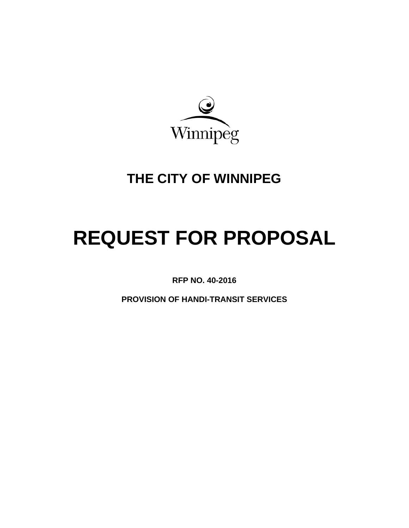

# **THE CITY OF WINNIPEG**

# **REQUEST FOR PROPOSAL**

**RFP NO. 40-2016** 

**PROVISION OF HANDI-TRANSIT SERVICES**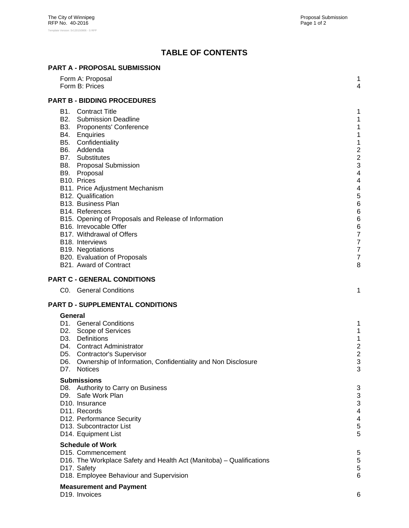# **TABLE OF CONTENTS**

| <b>PART A - PROPOSAL SUBMISSION</b> |  |
|-------------------------------------|--|
|                                     |  |

| Form A: Proposal<br>Form B: Prices                                                                                                                                                                                                                                                                                                                                                                                                                                                                                                                                                | 1<br>4                                                                                                                                                          |
|-----------------------------------------------------------------------------------------------------------------------------------------------------------------------------------------------------------------------------------------------------------------------------------------------------------------------------------------------------------------------------------------------------------------------------------------------------------------------------------------------------------------------------------------------------------------------------------|-----------------------------------------------------------------------------------------------------------------------------------------------------------------|
| <b>PART B - BIDDING PROCEDURES</b>                                                                                                                                                                                                                                                                                                                                                                                                                                                                                                                                                |                                                                                                                                                                 |
| <b>B1.</b> Contract Title<br><b>B2.</b> Submission Deadline<br>B3. Proponents' Conference<br>B4. Enquiries<br>B5. Confidentiality<br>B6. Addenda<br>B7. Substitutes<br><b>B8.</b> Proposal Submission<br>B9. Proposal<br>B10. Prices<br>B11. Price Adjustment Mechanism<br>B12. Qualification<br>B13. Business Plan<br>B <sub>14</sub> . References<br>B15. Opening of Proposals and Release of Information<br>B16. Irrevocable Offer<br>B17. Withdrawal of Offers<br>B <sub>18</sub> . Interviews<br>B19. Negotiations<br>B20. Evaluation of Proposals<br>B21. Award of Contract | 1<br>1<br>1<br>1<br>1<br>$\overline{\mathbf{c}}$<br>$\overline{\mathbf{c}}$<br>3<br>4<br>4<br>4<br>5<br>$6\phantom{1}6$<br>6<br>6<br>6<br>7<br>7<br>7<br>7<br>8 |
| <b>PART C - GENERAL CONDITIONS</b>                                                                                                                                                                                                                                                                                                                                                                                                                                                                                                                                                |                                                                                                                                                                 |
| C0. General Conditions                                                                                                                                                                                                                                                                                                                                                                                                                                                                                                                                                            | 1                                                                                                                                                               |
| PART D - SUPPLEMENTAL CONDITIONS                                                                                                                                                                                                                                                                                                                                                                                                                                                                                                                                                  |                                                                                                                                                                 |
| General<br>D1. General Conditions<br>D2. Scope of Services<br>D3. Definitions<br>D4. Contract Administrator<br>D5. Contractor's Supervisor<br>D6. Ownership of Information, Confidentiality and Non Disclosure<br>D7.<br><b>Notices</b>                                                                                                                                                                                                                                                                                                                                           | 1<br>1<br>1<br>$\overline{c}$<br>$\overline{c}$<br>3<br>3                                                                                                       |
| <b>Submissions</b><br>D8. Authority to Carry on Business<br>D9. Safe Work Plan<br>D <sub>10</sub> . Insurance<br>D11. Records<br>D12. Performance Security<br>D13. Subcontractor List<br>D14. Equipment List                                                                                                                                                                                                                                                                                                                                                                      | 3<br>3<br>3<br>4<br>4<br>5<br>5                                                                                                                                 |
| <b>Schedule of Work</b><br>D <sub>15</sub> . Commencement<br>D16. The Workplace Safety and Health Act (Manitoba) – Qualifications<br>D17. Safety<br>D18. Employee Behaviour and Supervision                                                                                                                                                                                                                                                                                                                                                                                       | 5<br>5<br>5<br>6                                                                                                                                                |
| <b>Measurement and Payment</b><br>D19. Invoices                                                                                                                                                                                                                                                                                                                                                                                                                                                                                                                                   | 6                                                                                                                                                               |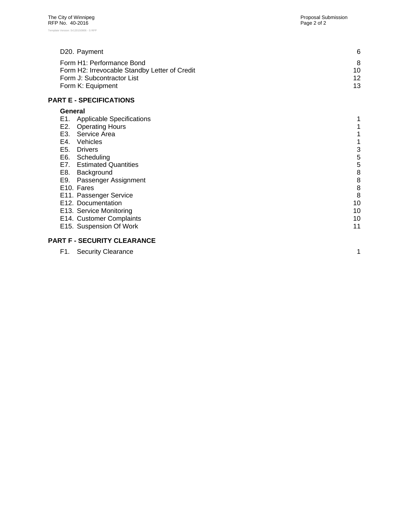| D <sub>20</sub> . Payment                     | 6  |
|-----------------------------------------------|----|
| Form H1: Performance Bond                     | 8  |
| Form H2: Irrevocable Standby Letter of Credit | 10 |
| Form J: Subcontractor List                    | 12 |
| Form K: Equipment                             | 13 |
| <b>PART E - SPECIFICATIONS</b>                |    |

## **General**

| General                                 |    |
|-----------------------------------------|----|
| E1.<br><b>Applicable Specifications</b> |    |
| E2.<br><b>Operating Hours</b>           |    |
| Service Area<br>E3.                     |    |
| E4.<br>Vehicles                         |    |
| E5.<br><b>Drivers</b>                   | 3  |
| E6.<br>Scheduling                       | 5  |
| E7.<br><b>Estimated Quantities</b>      | 5  |
| E8.<br>Background                       | 8  |
| E9. Passenger Assignment                | 8  |
| E <sub>10</sub> . Fares                 | 8  |
| E11. Passenger Service                  | 8  |
| E12. Documentation                      | 10 |
| E13. Service Monitoring                 | 10 |
| E14. Customer Complaints                | 10 |
| E15. Suspension Of Work                 | 11 |
|                                         |    |

# **PART F - SECURITY CLEARANCE**

| F1. Security Clearance |  |
|------------------------|--|
|------------------------|--|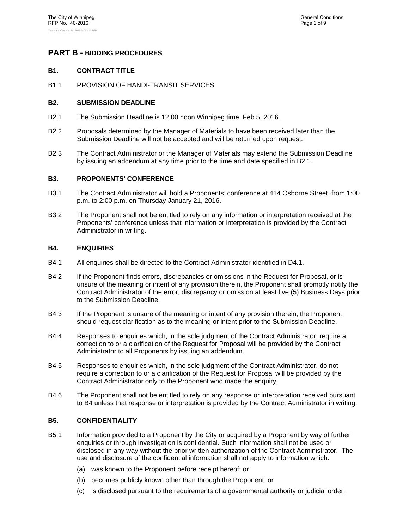#### **PART B - BIDDING PROCEDURES**

#### **B1. CONTRACT TITLE**

B1.1 PROVISION OF HANDI-TRANSIT SERVICES

#### **B2. SUBMISSION DEADLINE**

- B2.1 The Submission Deadline is 12:00 noon Winnipeg time, Feb 5, 2016.
- B2.2 Proposals determined by the Manager of Materials to have been received later than the Submission Deadline will not be accepted and will be returned upon request.
- B2.3 The Contract Administrator or the Manager of Materials may extend the Submission Deadline by issuing an addendum at any time prior to the time and date specified in B2.1.

#### **B3. PROPONENTS' CONFERENCE**

- B3.1 The Contract Administrator will hold a Proponents' conference at 414 Osborne Street from 1:00 p.m. to 2:00 p.m. on Thursday January 21, 2016.
- B3.2 The Proponent shall not be entitled to rely on any information or interpretation received at the Proponents' conference unless that information or interpretation is provided by the Contract Administrator in writing.

#### **B4. ENQUIRIES**

- B4.1 All enquiries shall be directed to the Contract Administrator identified in D4.1.
- B4.2 If the Proponent finds errors, discrepancies or omissions in the Request for Proposal, or is unsure of the meaning or intent of any provision therein, the Proponent shall promptly notify the Contract Administrator of the error, discrepancy or omission at least five (5) Business Days prior to the Submission Deadline.
- B4.3 If the Proponent is unsure of the meaning or intent of any provision therein, the Proponent should request clarification as to the meaning or intent prior to the Submission Deadline.
- B4.4 Responses to enquiries which, in the sole judgment of the Contract Administrator, require a correction to or a clarification of the Request for Proposal will be provided by the Contract Administrator to all Proponents by issuing an addendum.
- B4.5 Responses to enquiries which, in the sole judgment of the Contract Administrator, do not require a correction to or a clarification of the Request for Proposal will be provided by the Contract Administrator only to the Proponent who made the enquiry.
- B4.6 The Proponent shall not be entitled to rely on any response or interpretation received pursuant to B4 unless that response or interpretation is provided by the Contract Administrator in writing.

#### **B5. CONFIDENTIALITY**

- B5.1 Information provided to a Proponent by the City or acquired by a Proponent by way of further enquiries or through investigation is confidential. Such information shall not be used or disclosed in any way without the prior written authorization of the Contract Administrator. The use and disclosure of the confidential information shall not apply to information which:
	- (a) was known to the Proponent before receipt hereof; or
	- (b) becomes publicly known other than through the Proponent; or
	- (c) is disclosed pursuant to the requirements of a governmental authority or judicial order.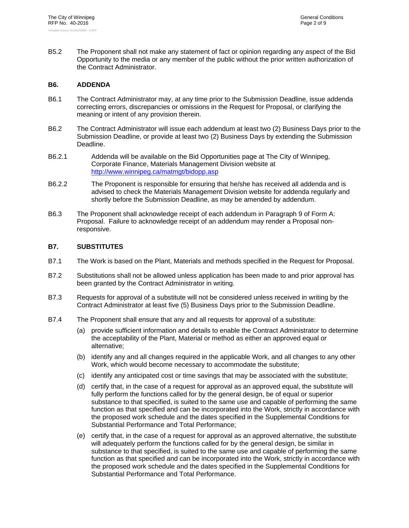B5.2 The Proponent shall not make any statement of fact or opinion regarding any aspect of the Bid Opportunity to the media or any member of the public without the prior written authorization of the Contract Administrator.

#### **B6. ADDENDA**

- B6.1 The Contract Administrator may, at any time prior to the Submission Deadline, issue addenda correcting errors, discrepancies or omissions in the Request for Proposal, or clarifying the meaning or intent of any provision therein.
- B6.2 The Contract Administrator will issue each addendum at least two (2) Business Days prior to the Submission Deadline, or provide at least two (2) Business Days by extending the Submission Deadline.
- B6.2.1 Addenda will be available on the Bid Opportunities page at The City of Winnipeg, Corporate Finance, Materials Management Division website at http://www.winnipeg.ca/matmgt/bidopp.asp
- B6.2.2 The Proponent is responsible for ensuring that he/she has received all addenda and is advised to check the Materials Management Division website for addenda regularly and shortly before the Submission Deadline, as may be amended by addendum.
- B6.3 The Proponent shall acknowledge receipt of each addendum in Paragraph 9 of Form A: Proposal. Failure to acknowledge receipt of an addendum may render a Proposal nonresponsive.

#### **B7. SUBSTITUTES**

- B7.1 The Work is based on the Plant, Materials and methods specified in the Request for Proposal.
- B7.2 Substitutions shall not be allowed unless application has been made to and prior approval has been granted by the Contract Administrator in writing.
- B7.3 Requests for approval of a substitute will not be considered unless received in writing by the Contract Administrator at least five (5) Business Days prior to the Submission Deadline.
- B7.4 The Proponent shall ensure that any and all requests for approval of a substitute:
	- (a) provide sufficient information and details to enable the Contract Administrator to determine the acceptability of the Plant, Material or method as either an approved equal or alternative;
	- (b) identify any and all changes required in the applicable Work, and all changes to any other Work, which would become necessary to accommodate the substitute;
	- (c) identify any anticipated cost or time savings that may be associated with the substitute;
	- (d) certify that, in the case of a request for approval as an approved equal, the substitute will fully perform the functions called for by the general design, be of equal or superior substance to that specified, is suited to the same use and capable of performing the same function as that specified and can be incorporated into the Work, strictly in accordance with the proposed work schedule and the dates specified in the Supplemental Conditions for Substantial Performance and Total Performance;
	- (e) certify that, in the case of a request for approval as an approved alternative, the substitute will adequately perform the functions called for by the general design, be similar in substance to that specified, is suited to the same use and capable of performing the same function as that specified and can be incorporated into the Work, strictly in accordance with the proposed work schedule and the dates specified in the Supplemental Conditions for Substantial Performance and Total Performance.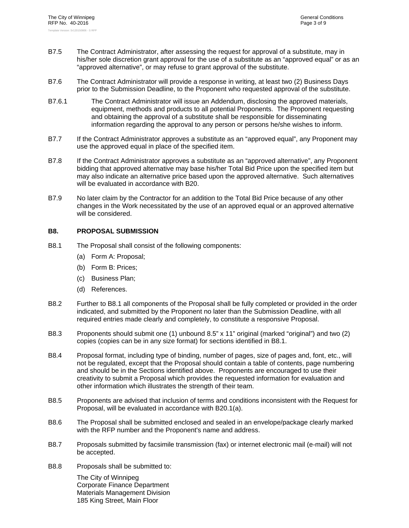- B7.5 The Contract Administrator, after assessing the request for approval of a substitute, may in his/her sole discretion grant approval for the use of a substitute as an "approved equal" or as an "approved alternative", or may refuse to grant approval of the substitute.
- B7.6 The Contract Administrator will provide a response in writing, at least two (2) Business Days prior to the Submission Deadline, to the Proponent who requested approval of the substitute.
- B7.6.1 The Contract Administrator will issue an Addendum, disclosing the approved materials, equipment, methods and products to all potential Proponents. The Proponent requesting and obtaining the approval of a substitute shall be responsible for disseminating information regarding the approval to any person or persons he/she wishes to inform.
- B7.7 If the Contract Administrator approves a substitute as an "approved equal", any Proponent may use the approved equal in place of the specified item.
- B7.8 If the Contract Administrator approves a substitute as an "approved alternative", any Proponent bidding that approved alternative may base his/her Total Bid Price upon the specified item but may also indicate an alternative price based upon the approved alternative. Such alternatives will be evaluated in accordance with B20.
- B7.9 No later claim by the Contractor for an addition to the Total Bid Price because of any other changes in the Work necessitated by the use of an approved equal or an approved alternative will be considered.

#### **B8. PROPOSAL SUBMISSION**

- B8.1 The Proposal shall consist of the following components:
	- (a) Form A: Proposal;
	- (b) Form B: Prices;
	- (c) Business Plan;
	- (d) References.
- B8.2 Further to B8.1 all components of the Proposal shall be fully completed or provided in the order indicated, and submitted by the Proponent no later than the Submission Deadline, with all required entries made clearly and completely, to constitute a responsive Proposal.
- B8.3 Proponents should submit one (1) unbound 8.5" x 11" original (marked "original") and two (2) copies (copies can be in any size format) for sections identified in B8.1.
- B8.4 Proposal format, including type of binding, number of pages, size of pages and, font, etc., will not be regulated, except that the Proposal should contain a table of contents, page numbering and should be in the Sections identified above. Proponents are encouraged to use their creativity to submit a Proposal which provides the requested information for evaluation and other information which illustrates the strength of their team.
- B8.5 Proponents are advised that inclusion of terms and conditions inconsistent with the Request for Proposal, will be evaluated in accordance with B20.1(a).
- B8.6 The Proposal shall be submitted enclosed and sealed in an envelope/package clearly marked with the RFP number and the Proponent's name and address.
- B8.7 Proposals submitted by facsimile transmission (fax) or internet electronic mail (e-mail) will not be accepted.
- B8.8 Proposals shall be submitted to:

The City of Winnipeg Corporate Finance Department Materials Management Division 185 King Street, Main Floor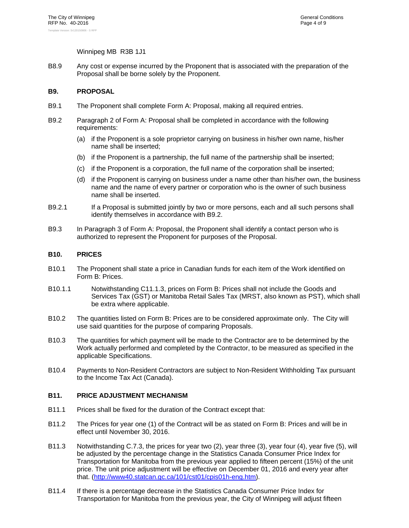#### Winnipeg MB R3B 1J1

B8.9 Any cost or expense incurred by the Proponent that is associated with the preparation of the Proposal shall be borne solely by the Proponent.

#### **B9. PROPOSAL**

- B9.1 The Proponent shall complete Form A: Proposal, making all required entries.
- B9.2 Paragraph 2 of Form A: Proposal shall be completed in accordance with the following requirements:
	- (a) if the Proponent is a sole proprietor carrying on business in his/her own name, his/her name shall be inserted;
	- (b) if the Proponent is a partnership, the full name of the partnership shall be inserted;
	- (c) if the Proponent is a corporation, the full name of the corporation shall be inserted;
	- (d) if the Proponent is carrying on business under a name other than his/her own, the business name and the name of every partner or corporation who is the owner of such business name shall be inserted.
- B9.2.1 If a Proposal is submitted jointly by two or more persons, each and all such persons shall identify themselves in accordance with B9.2.
- B9.3 In Paragraph 3 of Form A: Proposal, the Proponent shall identify a contact person who is authorized to represent the Proponent for purposes of the Proposal.

#### **B10. PRICES**

- B10.1 The Proponent shall state a price in Canadian funds for each item of the Work identified on Form B: Prices.
- B10.1.1 Notwithstanding C11.1.3, prices on Form B: Prices shall not include the Goods and Services Tax (GST) or Manitoba Retail Sales Tax (MRST, also known as PST), which shall be extra where applicable.
- B10.2 The quantities listed on Form B: Prices are to be considered approximate only. The City will use said quantities for the purpose of comparing Proposals.
- B10.3 The quantities for which payment will be made to the Contractor are to be determined by the Work actually performed and completed by the Contractor, to be measured as specified in the applicable Specifications.
- B10.4 Payments to Non-Resident Contractors are subject to Non-Resident Withholding Tax pursuant to the Income Tax Act (Canada).

#### **B11. PRICE ADJUSTMENT MECHANISM**

- B11.1 Prices shall be fixed for the duration of the Contract except that:
- B11.2 The Prices for year one (1) of the Contract will be as stated on Form B: Prices and will be in effect until November 30, 2016.
- B11.3 Notwithstanding C.7.3, the prices for year two (2), year three (3), year four (4), year five (5), will be adjusted by the percentage change in the Statistics Canada Consumer Price Index for Transportation for Manitoba from the previous year applied to fifteen percent (15%) of the unit price. The unit price adjustment will be effective on December 01, 2016 and every year after that. (http://www40.statcan.gc.ca/101/cst01/cpis01h-eng.htm).
- B11.4 If there is a percentage decrease in the Statistics Canada Consumer Price Index for Transportation for Manitoba from the previous year, the City of Winnipeg will adjust fifteen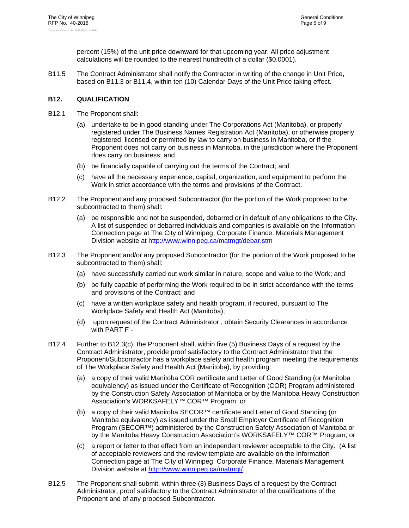percent (15%) of the unit price downward for that upcoming year. All price adjustment calculations will be rounded to the nearest hundredth of a dollar (\$0.0001).

B11.5 The Contract Administrator shall notify the Contractor in writing of the change in Unit Price, based on B11.3 or B11.4, within ten (10) Calendar Days of the Unit Price taking effect.

#### **B12. QUALIFICATION**

- B12.1 The Proponent shall:
	- (a) undertake to be in good standing under The Corporations Act (Manitoba), or properly registered under The Business Names Registration Act (Manitoba), or otherwise properly registered, licensed or permitted by law to carry on business in Manitoba, or if the Proponent does not carry on business in Manitoba, in the jurisdiction where the Proponent does carry on business; and
	- (b) be financially capable of carrying out the terms of the Contract; and
	- (c) have all the necessary experience, capital, organization, and equipment to perform the Work in strict accordance with the terms and provisions of the Contract.
- B12.2 The Proponent and any proposed Subcontractor (for the portion of the Work proposed to be subcontracted to them) shall:
	- (a) be responsible and not be suspended, debarred or in default of any obligations to the City. A list of suspended or debarred individuals and companies is available on the Information Connection page at The City of Winnipeg, Corporate Finance, Materials Management Division website at http://www.winnipeg.ca/matmgt/debar.stm
- B12.3 The Proponent and/or any proposed Subcontractor (for the portion of the Work proposed to be subcontracted to them) shall:
	- (a) have successfully carried out work similar in nature, scope and value to the Work; and
	- (b) be fully capable of performing the Work required to be in strict accordance with the terms and provisions of the Contract; and
	- (c) have a written workplace safety and health program, if required, pursuant to The Workplace Safety and Health Act (Manitoba);
	- (d) upon request of the Contract Administrator , obtain Security Clearances in accordance with PART F -
- B12.4 Further to B12.3(c), the Proponent shall, within five (5) Business Days of a request by the Contract Administrator, provide proof satisfactory to the Contract Administrator that the Proponent/Subcontractor has a workplace safety and health program meeting the requirements of The Workplace Safety and Health Act (Manitoba), by providing:
	- (a) a copy of their valid Manitoba COR certificate and Letter of Good Standing (or Manitoba equivalency) as issued under the Certificate of Recognition (COR) Program administered by the Construction Safety Association of Manitoba or by the Manitoba Heavy Construction Association's WORKSAFELY™ COR™ Program; or
	- (b) a copy of their valid Manitoba SECOR™ certificate and Letter of Good Standing (or Manitoba equivalency) as issued under the Small Employer Certificate of Recognition Program (SECOR™) administered by the Construction Safety Association of Manitoba or by the Manitoba Heavy Construction Association's WORKSAFELY™ COR™ Program; or
	- (c) a report or letter to that effect from an independent reviewer acceptable to the City. (A list of acceptable reviewers and the review template are available on the Information Connection page at The City of Winnipeg, Corporate Finance, Materials Management Division website at http://www.winnipeg.ca/matmgt/.
- B12.5 The Proponent shall submit, within three (3) Business Days of a request by the Contract Administrator, proof satisfactory to the Contract Administrator of the qualifications of the Proponent and of any proposed Subcontractor.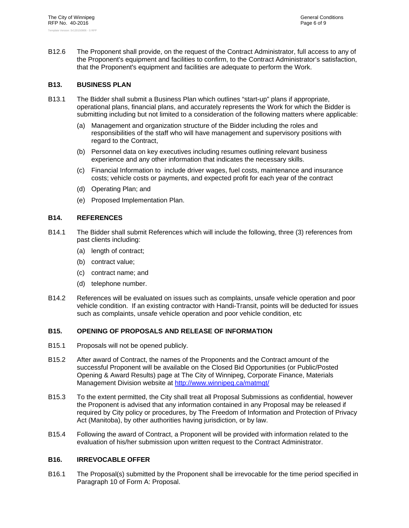B12.6 The Proponent shall provide, on the request of the Contract Administrator, full access to any of the Proponent's equipment and facilities to confirm, to the Contract Administrator's satisfaction, that the Proponent's equipment and facilities are adequate to perform the Work.

#### **B13. BUSINESS PLAN**

- B13.1 The Bidder shall submit a Business Plan which outlines "start-up" plans if appropriate, operational plans, financial plans, and accurately represents the Work for which the Bidder is submitting including but not limited to a consideration of the following matters where applicable:
	- (a) Management and organization structure of the Bidder including the roles and responsibilities of the staff who will have management and supervisory positions with regard to the Contract,
	- (b) Personnel data on key executives including resumes outlining relevant business experience and any other information that indicates the necessary skills.
	- (c) Financial Information to include driver wages, fuel costs, maintenance and insurance costs; vehicle costs or payments, and expected profit for each year of the contract
	- (d) Operating Plan; and
	- (e) Proposed Implementation Plan.

#### **B14. REFERENCES**

- B14.1 The Bidder shall submit References which will include the following, three (3) references from past clients including:
	- (a) length of contract;
	- (b) contract value;
	- (c) contract name; and
	- (d) telephone number.
- B14.2 References will be evaluated on issues such as complaints, unsafe vehicle operation and poor vehicle condition. If an existing contractor with Handi-Transit, points will be deducted for issues such as complaints, unsafe vehicle operation and poor vehicle condition, etc

#### **B15. OPENING OF PROPOSALS AND RELEASE OF INFORMATION**

- B15.1 Proposals will not be opened publicly.
- B15.2 After award of Contract, the names of the Proponents and the Contract amount of the successful Proponent will be available on the Closed Bid Opportunities (or Public/Posted Opening & Award Results) page at The City of Winnipeg, Corporate Finance, Materials Management Division website at http://www.winnipeg.ca/matmgt/
- B15.3 To the extent permitted, the City shall treat all Proposal Submissions as confidential, however the Proponent is advised that any information contained in any Proposal may be released if required by City policy or procedures, by The Freedom of Information and Protection of Privacy Act (Manitoba), by other authorities having jurisdiction, or by law.
- B15.4 Following the award of Contract, a Proponent will be provided with information related to the evaluation of his/her submission upon written request to the Contract Administrator.

#### **B16. IRREVOCABLE OFFER**

B16.1 The Proposal(s) submitted by the Proponent shall be irrevocable for the time period specified in Paragraph 10 of Form A: Proposal.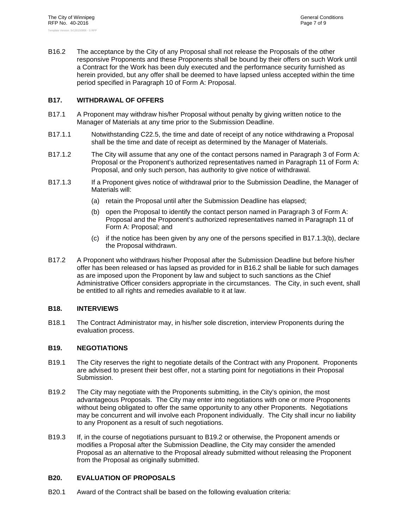B16.2 The acceptance by the City of any Proposal shall not release the Proposals of the other responsive Proponents and these Proponents shall be bound by their offers on such Work until a Contract for the Work has been duly executed and the performance security furnished as herein provided, but any offer shall be deemed to have lapsed unless accepted within the time period specified in Paragraph 10 of Form A: Proposal.

#### **B17. WITHDRAWAL OF OFFERS**

- B17.1 A Proponent may withdraw his/her Proposal without penalty by giving written notice to the Manager of Materials at any time prior to the Submission Deadline.
- B17.1.1 Notwithstanding C22.5, the time and date of receipt of any notice withdrawing a Proposal shall be the time and date of receipt as determined by the Manager of Materials.
- B17.1.2 The City will assume that any one of the contact persons named in Paragraph 3 of Form A: Proposal or the Proponent's authorized representatives named in Paragraph 11 of Form A: Proposal, and only such person, has authority to give notice of withdrawal.
- B17.1.3 If a Proponent gives notice of withdrawal prior to the Submission Deadline, the Manager of Materials will:
	- (a) retain the Proposal until after the Submission Deadline has elapsed;
	- (b) open the Proposal to identify the contact person named in Paragraph 3 of Form A: Proposal and the Proponent's authorized representatives named in Paragraph 11 of Form A: Proposal; and
	- (c) if the notice has been given by any one of the persons specified in B17.1.3(b), declare the Proposal withdrawn.
- B17.2 A Proponent who withdraws his/her Proposal after the Submission Deadline but before his/her offer has been released or has lapsed as provided for in B16.2 shall be liable for such damages as are imposed upon the Proponent by law and subject to such sanctions as the Chief Administrative Officer considers appropriate in the circumstances. The City, in such event, shall be entitled to all rights and remedies available to it at law.

#### **B18. INTERVIEWS**

B18.1 The Contract Administrator may, in his/her sole discretion, interview Proponents during the evaluation process.

#### **B19. NEGOTIATIONS**

- B19.1 The City reserves the right to negotiate details of the Contract with any Proponent. Proponents are advised to present their best offer, not a starting point for negotiations in their Proposal Submission.
- B19.2 The City may negotiate with the Proponents submitting, in the City's opinion, the most advantageous Proposals. The City may enter into negotiations with one or more Proponents without being obligated to offer the same opportunity to any other Proponents. Negotiations may be concurrent and will involve each Proponent individually. The City shall incur no liability to any Proponent as a result of such negotiations.
- B19.3 If, in the course of negotiations pursuant to B19.2 or otherwise, the Proponent amends or modifies a Proposal after the Submission Deadline, the City may consider the amended Proposal as an alternative to the Proposal already submitted without releasing the Proponent from the Proposal as originally submitted.

#### **B20. EVALUATION OF PROPOSALS**

B20.1 Award of the Contract shall be based on the following evaluation criteria: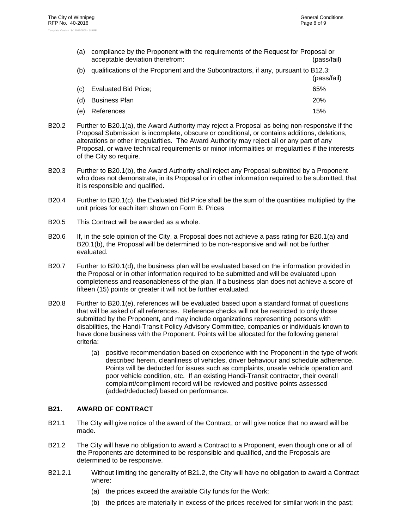- (a) compliance by the Proponent with the requirements of the Request for Proposal or acceptable deviation therefrom: (pass/fail) (b) qualifications of the Proponent and the Subcontractors, if any, pursuant to B12.3: (pass/fail) (c) Evaluated Bid Price; 65% (d) Business Plan 20% (e) References 15%
- B20.2 Further to B20.1(a), the Award Authority may reject a Proposal as being non-responsive if the Proposal Submission is incomplete, obscure or conditional, or contains additions, deletions, alterations or other irregularities. The Award Authority may reject all or any part of any Proposal, or waive technical requirements or minor informalities or irregularities if the interests of the City so require.
- B20.3 Further to B20.1(b), the Award Authority shall reject any Proposal submitted by a Proponent who does not demonstrate, in its Proposal or in other information required to be submitted, that it is responsible and qualified.
- B20.4 Further to B20.1(c), the Evaluated Bid Price shall be the sum of the quantities multiplied by the unit prices for each item shown on Form B: Prices
- B20.5 This Contract will be awarded as a whole.
- B20.6 If, in the sole opinion of the City, a Proposal does not achieve a pass rating for B20.1(a) and B20.1(b), the Proposal will be determined to be non-responsive and will not be further evaluated.
- B20.7 Further to B20.1(d), the business plan will be evaluated based on the information provided in the Proposal or in other information required to be submitted and will be evaluated upon completeness and reasonableness of the plan. If a business plan does not achieve a score of fifteen (15) points or greater it will not be further evaluated.
- B20.8 Further to B20.1(e), references will be evaluated based upon a standard format of questions that will be asked of all references. Reference checks will not be restricted to only those submitted by the Proponent, and may include organizations representing persons with disabilities, the Handi-Transit Policy Advisory Committee, companies or individuals known to have done business with the Proponent. Points will be allocated for the following general criteria:
	- (a) positive recommendation based on experience with the Proponent in the type of work described herein, cleanliness of vehicles, driver behaviour and schedule adherence. Points will be deducted for issues such as complaints, unsafe vehicle operation and poor vehicle condition, etc. If an existing Handi-Transit contractor, their overall complaint/compliment record will be reviewed and positive points assessed (added/deducted) based on performance.

#### **B21. AWARD OF CONTRACT**

- B21.1 The City will give notice of the award of the Contract, or will give notice that no award will be made.
- B21.2 The City will have no obligation to award a Contract to a Proponent, even though one or all of the Proponents are determined to be responsible and qualified, and the Proposals are determined to be responsive.
- B21.2.1 Without limiting the generality of B21.2, the City will have no obligation to award a Contract where:
	- (a) the prices exceed the available City funds for the Work;
	- (b) the prices are materially in excess of the prices received for similar work in the past;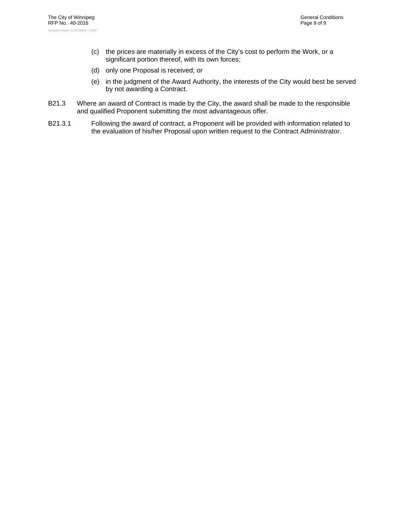- (c) the prices are materially in excess of the City's cost to perform the Work, or a significant portion thereof, with its own forces;
- (d) only one Proposal is received; or
- (e) in the judgment of the Award Authority, the interests of the City would best be served by not awarding a Contract.
- B21.3 Where an award of Contract is made by the City, the award shall be made to the responsible and qualified Proponent submitting the most advantageous offer.
- B21.3.1 Following the award of contract, a Proponent will be provided with information related to the evaluation of his/her Proposal upon written request to the Contract Administrator.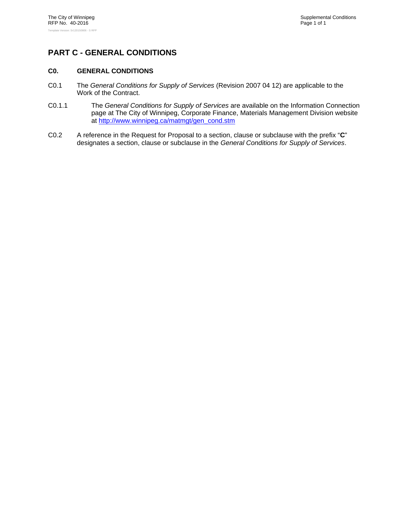# **PART C - GENERAL CONDITIONS**

#### **C0. GENERAL CONDITIONS**

- C0.1 The *General Conditions for Supply of Services* (Revision 2007 04 12) are applicable to the Work of the Contract.
- C0.1.1 The *General Conditions for Supply of Services* are available on the Information Connection page at The City of Winnipeg, Corporate Finance, Materials Management Division website at http://www.winnipeg.ca/matmgt/gen\_cond.stm
- C0.2 A reference in the Request for Proposal to a section, clause or subclause with the prefix "**C**" designates a section, clause or subclause in the *General Conditions for Supply of Services*.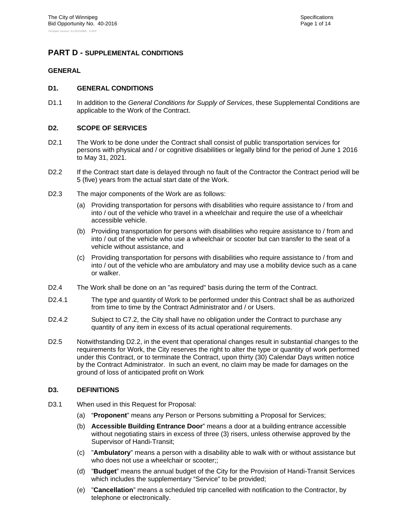#### **PART D - SUPPLEMENTAL CONDITIONS**

#### **GENERAL**

#### **D1. GENERAL CONDITIONS**

D1.1 In addition to the *General Conditions for Supply of Services*, these Supplemental Conditions are applicable to the Work of the Contract.

#### **D2. SCOPE OF SERVICES**

- D2.1 The Work to be done under the Contract shall consist of public transportation services for persons with physical and / or cognitive disabilities or legally blind for the period of June 1 2016 to May 31, 2021.
- D2.2 If the Contract start date is delayed through no fault of the Contractor the Contract period will be 5 (five) years from the actual start date of the Work.
- D2.3 The major components of the Work are as follows:
	- (a) Providing transportation for persons with disabilities who require assistance to / from and into / out of the vehicle who travel in a wheelchair and require the use of a wheelchair accessible vehicle.
	- (b) Providing transportation for persons with disabilities who require assistance to / from and into / out of the vehicle who use a wheelchair or scooter but can transfer to the seat of a vehicle without assistance, and
	- (c) Providing transportation for persons with disabilities who require assistance to / from and into / out of the vehicle who are ambulatory and may use a mobility device such as a cane or walker.
- D2.4 The Work shall be done on an "as required" basis during the term of the Contract.
- D2.4.1 The type and quantity of Work to be performed under this Contract shall be as authorized from time to time by the Contract Administrator and / or Users.
- D2.4.2 Subject to C7.2, the City shall have no obligation under the Contract to purchase any quantity of any item in excess of its actual operational requirements.
- D2.5 Notwithstanding D2.2, in the event that operational changes result in substantial changes to the requirements for Work, the City reserves the right to alter the type or quantity of work performed under this Contract, or to terminate the Contract, upon thirty (30) Calendar Days written notice by the Contract Administrator. In such an event, no claim may be made for damages on the ground of loss of anticipated profit on Work

#### **D3. DEFINITIONS**

- D3.1 When used in this Request for Proposal:
	- (a) "**Proponent**" means any Person or Persons submitting a Proposal for Services;
	- (b) **Accessible Building Entrance Door**" means a door at a building entrance accessible without negotiating stairs in excess of three (3) risers, unless otherwise approved by the Supervisor of Handi-Transit;
	- (c) "**Ambulatory**" means a person with a disability able to walk with or without assistance but who does not use a wheelchair or scooter;;
	- (d) "**Budget**" means the annual budget of the City for the Provision of Handi-Transit Services which includes the supplementary "Service" to be provided;
	- (e) "**Cancellation**" means a scheduled trip cancelled with notification to the Contractor, by telephone or electronically.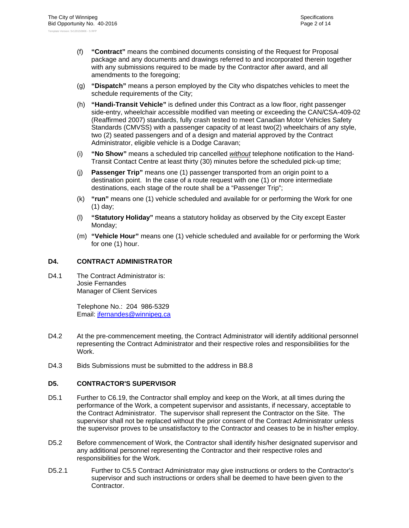- (f) **"Contract"** means the combined documents consisting of the Request for Proposal package and any documents and drawings referred to and incorporated therein together with any submissions required to be made by the Contractor after award, and all amendments to the foregoing;
- (g) **"Dispatch"** means a person employed by the City who dispatches vehicles to meet the schedule requirements of the City;
- (h) **"Handi-Transit Vehicle"** is defined under this Contract as a low floor, right passenger side-entry, wheelchair accessible modified van meeting or exceeding the CAN/CSA-409-02 (Reaffirmed 2007) standards, fully crash tested to meet Canadian Motor Vehicles Safety Standards (CMVSS) with a passenger capacity of at least two(2) wheelchairs of any style, two (2) seated passengers and of a design and material approved by the Contract Administrator, eligible vehicle is a Dodge Caravan;
- (i) **"No Show"** means a scheduled trip cancelled *without* telephone notification to the Hand-Transit Contact Centre at least thirty (30) minutes before the scheduled pick-up time;
- (j) **Passenger Trip"** means one (1) passenger transported from an origin point to a destination point. In the case of a route request with one (1) or more intermediate destinations, each stage of the route shall be a "Passenger Trip";
- (k) **"run"** means one (1) vehicle scheduled and available for or performing the Work for one (1) day;
- (l) **"Statutory Holiday"** means a statutory holiday as observed by the City except Easter Monday;
- (m) **"Vehicle Hour"** means one (1) vehicle scheduled and available for or performing the Work for one (1) hour.

#### **D4. CONTRACT ADMINISTRATOR**

D4.1 The Contract Administrator is: Josie Fernandes Manager of Client Services

> Telephone No.: 204 986-5329 Email: jfernandes@winnipeg.ca

- D4.2 At the pre-commencement meeting, the Contract Administrator will identify additional personnel representing the Contract Administrator and their respective roles and responsibilities for the Work.
- D4.3 Bids Submissions must be submitted to the address in B8.8

#### **D5. CONTRACTOR'S SUPERVISOR**

- D5.1 Further to C6.19, the Contractor shall employ and keep on the Work, at all times during the performance of the Work, a competent supervisor and assistants, if necessary, acceptable to the Contract Administrator. The supervisor shall represent the Contractor on the Site. The supervisor shall not be replaced without the prior consent of the Contract Administrator unless the supervisor proves to be unsatisfactory to the Contractor and ceases to be in his/her employ.
- D5.2 Before commencement of Work, the Contractor shall identify his/her designated supervisor and any additional personnel representing the Contractor and their respective roles and responsibilities for the Work.
- D5.2.1 Further to C5.5 Contract Administrator may give instructions or orders to the Contractor's supervisor and such instructions or orders shall be deemed to have been given to the Contractor.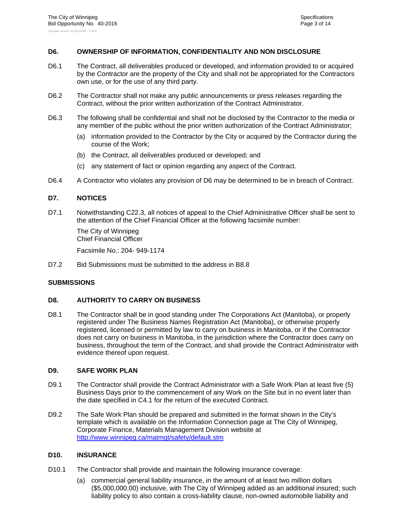#### **D6. OWNERSHIP OF INFORMATION, CONFIDENTIALITY AND NON DISCLOSURE**

- D6.1 The Contract, all deliverables produced or developed, and information provided to or acquired by the Contractor are the property of the City and shall not be appropriated for the Contractors own use, or for the use of any third party.
- D6.2 The Contractor shall not make any public announcements or press releases regarding the Contract, without the prior written authorization of the Contract Administrator.
- D6.3 The following shall be confidential and shall not be disclosed by the Contractor to the media or any member of the public without the prior written authorization of the Contract Administrator;
	- (a) information provided to the Contractor by the City or acquired by the Contractor during the course of the Work;
	- (b) the Contract, all deliverables produced or developed; and
	- (c) any statement of fact or opinion regarding any aspect of the Contract.
- D6.4 A Contractor who violates any provision of D6 may be determined to be in breach of Contract.

#### **D7. NOTICES**

D7.1 Notwithstanding C22.3, all notices of appeal to the Chief Administrative Officer shall be sent to the attention of the Chief Financial Officer at the following facsimile number:

The City of Winnipeg Chief Financial Officer

Facsimile No.: 204- 949-1174

D7.2 Bid Submissions must be submitted to the address in B8.8

#### **SUBMISSIONS**

#### **D8. AUTHORITY TO CARRY ON BUSINESS**

D8.1 The Contractor shall be in good standing under The Corporations Act (Manitoba), or properly registered under The Business Names Registration Act (Manitoba), or otherwise properly registered, licensed or permitted by law to carry on business in Manitoba, or if the Contractor does not carry on business in Manitoba, in the jurisdiction where the Contractor does carry on business, throughout the term of the Contract, and shall provide the Contract Administrator with evidence thereof upon request.

#### **D9. SAFE WORK PLAN**

- D9.1 The Contractor shall provide the Contract Administrator with a Safe Work Plan at least five (5) Business Days prior to the commencement of any Work on the Site but in no event later than the date specified in C4.1 for the return of the executed Contract.
- D9.2 The Safe Work Plan should be prepared and submitted in the format shown in the City's template which is available on the Information Connection page at The City of Winnipeg, Corporate Finance, Materials Management Division website at http://www.winnipeg.ca/matmgt/safety/default.stm

#### **D10. INSURANCE**

- D10.1 The Contractor shall provide and maintain the following insurance coverage:
	- (a) commercial general liability insurance, in the amount of at least two million dollars (\$5,000,000.00) inclusive, with The City of Winnipeg added as an additional insured; such liability policy to also contain a cross-liability clause, non-owned automobile liability and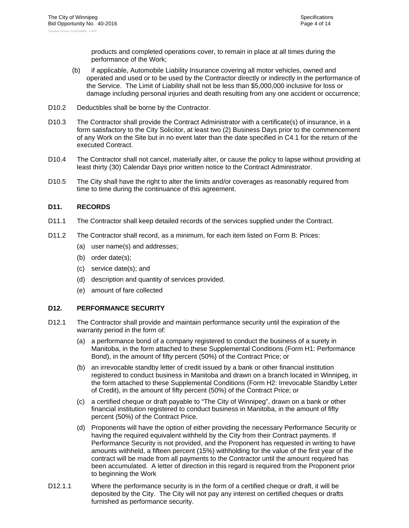products and completed operations cover, to remain in place at all times during the performance of the Work;

- (b) if applicable, Automobile Liability Insurance covering all motor vehicles, owned and operated and used or to be used by the Contractor directly or indirectly in the performance of the Service. The Limit of Liability shall not be less than \$5,000,000 inclusive for loss or damage including personal injuries and death resulting from any one accident or occurrence;
- D10.2 Deductibles shall be borne by the Contractor.
- D10.3 The Contractor shall provide the Contract Administrator with a certificate(s) of insurance, in a form satisfactory to the City Solicitor, at least two (2) Business Days prior to the commencement of any Work on the Site but in no event later than the date specified in C4.1 for the return of the executed Contract.
- D10.4 The Contractor shall not cancel, materially alter, or cause the policy to lapse without providing at least thirty (30) Calendar Days prior written notice to the Contract Administrator.
- D10.5 The City shall have the right to alter the limits and/or coverages as reasonably required from time to time during the continuance of this agreement.

#### **D11. RECORDS**

- D11.1 The Contractor shall keep detailed records of the services supplied under the Contract.
- D11.2 The Contractor shall record, as a minimum, for each item listed on Form B: Prices:
	- (a) user name(s) and addresses;
	- (b) order date(s);
	- (c) service date(s); and
	- (d) description and quantity of services provided.
	- (e) amount of fare collected

#### **D12. PERFORMANCE SECURITY**

- D12.1 The Contractor shall provide and maintain performance security until the expiration of the warranty period in the form of:
	- (a) a performance bond of a company registered to conduct the business of a surety in Manitoba, in the form attached to these Supplemental Conditions (Form H1: Performance Bond), in the amount of fifty percent (50%) of the Contract Price; or
	- (b) an irrevocable standby letter of credit issued by a bank or other financial institution registered to conduct business in Manitoba and drawn on a branch located in Winnipeg, in the form attached to these Supplemental Conditions (Form H2: Irrevocable Standby Letter of Credit), in the amount of fifty percent (50%) of the Contract Price; or
	- (c) a certified cheque or draft payable to "The City of Winnipeg", drawn on a bank or other financial institution registered to conduct business in Manitoba, in the amount of fifty percent (50%) of the Contract Price.
	- (d) Proponents will have the option of either providing the necessary Performance Security or having the required equivalent withheld by the City from their Contract payments. If Performance Security is not provided, and the Proponent has requested in writing to have amounts withheld, a fifteen percent (15%) withholding for the value of the first year of the contract will be made from all payments to the Contractor until the amount required has been accumulated. A letter of direction in this regard is required from the Proponent prior to beginning the Work
- D12.1.1 Where the performance security is in the form of a certified cheque or draft, it will be deposited by the City. The City will not pay any interest on certified cheques or drafts furnished as performance security.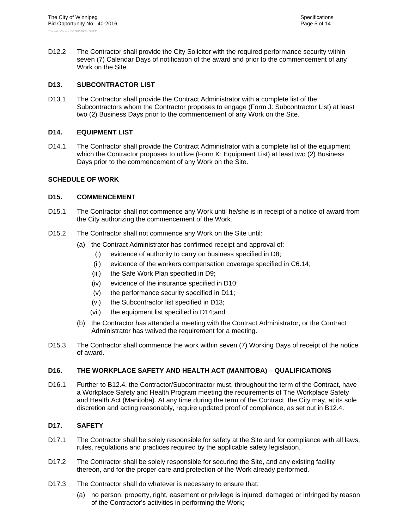D12.2 The Contractor shall provide the City Solicitor with the required performance security within seven (7) Calendar Days of notification of the award and prior to the commencement of any Work on the Site.

#### **D13. SUBCONTRACTOR LIST**

D13.1 The Contractor shall provide the Contract Administrator with a complete list of the Subcontractors whom the Contractor proposes to engage (Form J: Subcontractor List) at least two (2) Business Days prior to the commencement of any Work on the Site.

#### **D14. EQUIPMENT LIST**

D14.1 The Contractor shall provide the Contract Administrator with a complete list of the equipment which the Contractor proposes to utilize (Form K: Equipment List) at least two (2) Business Days prior to the commencement of any Work on the Site.

#### **SCHEDULE OF WORK**

#### **D15. COMMENCEMENT**

- D15.1 The Contractor shall not commence any Work until he/she is in receipt of a notice of award from the City authorizing the commencement of the Work.
- D15.2 The Contractor shall not commence any Work on the Site until:
	- (a) the Contract Administrator has confirmed receipt and approval of:
		- (i) evidence of authority to carry on business specified in D8;
		- (ii) evidence of the workers compensation coverage specified in C6.14;
		- (iii) the Safe Work Plan specified in D9;
		- (iv) evidence of the insurance specified in D10;
		- (v) the performance security specified in D11;
		- (vi) the Subcontractor list specified in D13;
		- (vii) the equipment list specified in D14;and
	- (b) the Contractor has attended a meeting with the Contract Administrator, or the Contract Administrator has waived the requirement for a meeting.
- D15.3 The Contractor shall commence the work within seven (7) Working Days of receipt of the notice of award.

#### **D16. THE WORKPLACE SAFETY AND HEALTH ACT (MANITOBA) – QUALIFICATIONS**

D16.1 Further to B12.4, the Contractor/Subcontractor must, throughout the term of the Contract, have a Workplace Safety and Health Program meeting the requirements of The Workplace Safety and Health Act (Manitoba). At any time during the term of the Contract, the City may, at its sole discretion and acting reasonably, require updated proof of compliance, as set out in B12.4.

#### **D17. SAFETY**

- D17.1 The Contractor shall be solely responsible for safety at the Site and for compliance with all laws, rules, regulations and practices required by the applicable safety legislation.
- D17.2 The Contractor shall be solely responsible for securing the Site, and any existing facility thereon, and for the proper care and protection of the Work already performed.
- D17.3 The Contractor shall do whatever is necessary to ensure that:
	- (a) no person, property, right, easement or privilege is injured, damaged or infringed by reason of the Contractor's activities in performing the Work;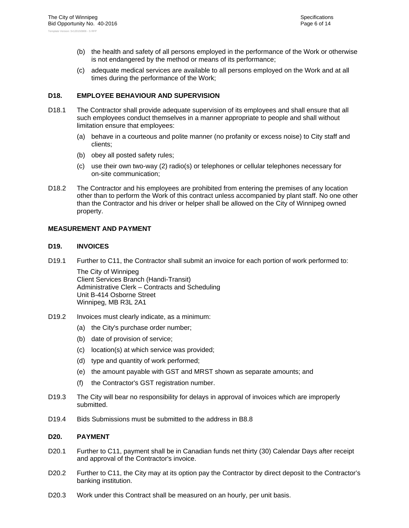- (b) the health and safety of all persons employed in the performance of the Work or otherwise is not endangered by the method or means of its performance;
- (c) adequate medical services are available to all persons employed on the Work and at all times during the performance of the Work;

#### **D18. EMPLOYEE BEHAVIOUR AND SUPERVISION**

- D18.1 The Contractor shall provide adequate supervision of its employees and shall ensure that all such employees conduct themselves in a manner appropriate to people and shall without limitation ensure that employees:
	- (a) behave in a courteous and polite manner (no profanity or excess noise) to City staff and clients;
	- (b) obey all posted safety rules;
	- (c) use their own two-way (2) radio(s) or telephones or cellular telephones necessary for on-site communication;
- D18.2 The Contractor and his employees are prohibited from entering the premises of any location other than to perform the Work of this contract unless accompanied by plant staff. No one other than the Contractor and his driver or helper shall be allowed on the City of Winnipeg owned property.

#### **MEASUREMENT AND PAYMENT**

#### **D19. INVOICES**

D19.1 Further to C11, the Contractor shall submit an invoice for each portion of work performed to:

The City of Winnipeg Client Services Branch (Handi-Transit) Administrative Clerk – Contracts and Scheduling Unit B-414 Osborne Street Winnipeg, MB R3L 2A1

- D19.2 Invoices must clearly indicate, as a minimum:
	- (a) the City's purchase order number;
	- (b) date of provision of service;
	- (c) location(s) at which service was provided;
	- (d) type and quantity of work performed;
	- (e) the amount payable with GST and MRST shown as separate amounts; and
	- (f) the Contractor's GST registration number.
- D19.3 The City will bear no responsibility for delays in approval of invoices which are improperly submitted.
- D19.4 Bids Submissions must be submitted to the address in B8.8

#### **D20. PAYMENT**

- D20.1 Further to C11, payment shall be in Canadian funds net thirty (30) Calendar Days after receipt and approval of the Contractor's invoice.
- D20.2 Further to C11, the City may at its option pay the Contractor by direct deposit to the Contractor's banking institution.
- D20.3 Work under this Contract shall be measured on an hourly, per unit basis.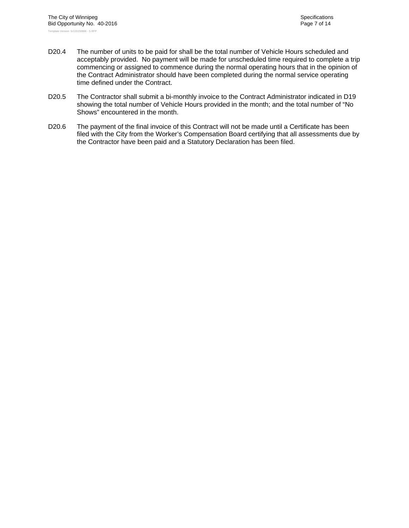- D20.4 The number of units to be paid for shall be the total number of Vehicle Hours scheduled and acceptably provided. No payment will be made for unscheduled time required to complete a trip commencing or assigned to commence during the normal operating hours that in the opinion of the Contract Administrator should have been completed during the normal service operating time defined under the Contract.
- D20.5 The Contractor shall submit a bi-monthly invoice to the Contract Administrator indicated in D19 showing the total number of Vehicle Hours provided in the month; and the total number of "No Shows" encountered in the month.
- D20.6 The payment of the final invoice of this Contract will not be made until a Certificate has been filed with the City from the Worker's Compensation Board certifying that all assessments due by the Contractor have been paid and a Statutory Declaration has been filed.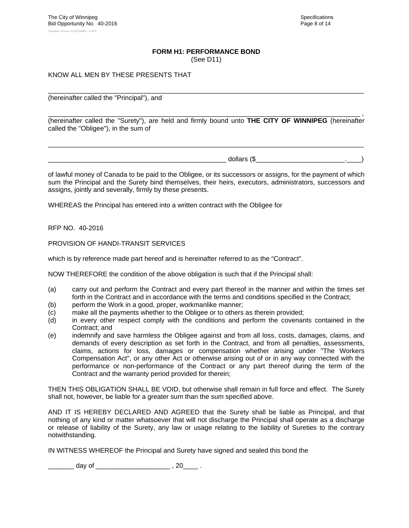## **FORM H1: PERFORMANCE BOND**

(See D11)

#### KNOW ALL MEN BY THESE PRESENTS THAT

\_\_\_\_\_\_\_\_\_\_\_\_\_\_\_\_\_\_\_\_\_\_\_\_\_\_\_\_\_\_\_\_\_\_\_\_\_\_\_\_\_\_\_\_\_\_\_\_\_\_\_\_\_\_\_\_\_\_\_\_\_\_\_\_\_\_\_\_\_\_\_\_\_\_\_\_\_\_\_\_\_\_\_\_\_ (hereinafter called the "Principal"), and

\_\_\_\_\_\_\_\_\_\_\_\_\_\_\_\_\_\_\_\_\_\_\_\_\_\_\_\_\_\_\_\_\_\_\_\_\_\_\_\_\_\_\_\_\_\_\_\_\_\_\_\_\_\_\_\_\_\_\_\_\_\_\_\_\_\_\_\_\_\_\_\_\_\_\_\_\_\_\_\_\_\_\_\_ , (hereinafter called the "Surety"), are held and firmly bound unto **THE CITY OF WINNIPEG** (hereinafter called the "Obligee"), in the sum of

\_\_\_\_\_\_\_\_\_\_\_\_\_\_\_\_\_\_\_\_\_\_\_\_\_\_\_\_\_\_\_\_\_\_\_\_\_\_\_\_\_\_\_\_\_\_\_\_\_\_\_\_\_\_\_\_\_\_\_\_\_\_\_\_\_\_\_\_\_\_\_\_\_\_\_\_\_\_\_\_\_\_\_\_\_

 $\Delta$  dollars (\$

of lawful money of Canada to be paid to the Obligee, or its successors or assigns, for the payment of which sum the Principal and the Surety bind themselves, their heirs, executors, administrators, successors and assigns, jointly and severally, firmly by these presents.

WHEREAS the Principal has entered into a written contract with the Obligee for

RFP NO. 40-2016

PROVISION OF HANDI-TRANSIT SERVICES

which is by reference made part hereof and is hereinafter referred to as the "Contract".

NOW THEREFORE the condition of the above obligation is such that if the Principal shall:

- (a) carry out and perform the Contract and every part thereof in the manner and within the times set forth in the Contract and in accordance with the terms and conditions specified in the Contract;
- (b) perform the Work in a good, proper, workmanlike manner;
- (c) make all the payments whether to the Obligee or to others as therein provided;
- (d) in every other respect comply with the conditions and perform the covenants contained in the Contract; and
- (e) indemnify and save harmless the Obligee against and from all loss, costs, damages, claims, and demands of every description as set forth in the Contract, and from all penalties, assessments, claims, actions for loss, damages or compensation whether arising under "The Workers Compensation Act", or any other Act or otherwise arising out of or in any way connected with the performance or non-performance of the Contract or any part thereof during the term of the Contract and the warranty period provided for therein;

THEN THIS OBLIGATION SHALL BE VOID, but otherwise shall remain in full force and effect. The Surety shall not, however, be liable for a greater sum than the sum specified above.

AND IT IS HEREBY DECLARED AND AGREED that the Surety shall be liable as Principal, and that nothing of any kind or matter whatsoever that will not discharge the Principal shall operate as a discharge or release of liability of the Surety, any law or usage relating to the liability of Sureties to the contrary notwithstanding.

IN WITNESS WHEREOF the Principal and Surety have signed and sealed this bond the

\_\_\_\_\_ day of \_\_\_\_\_\_\_\_\_\_\_\_\_\_\_\_\_\_\_\_\_\_ , 20\_\_\_\_ .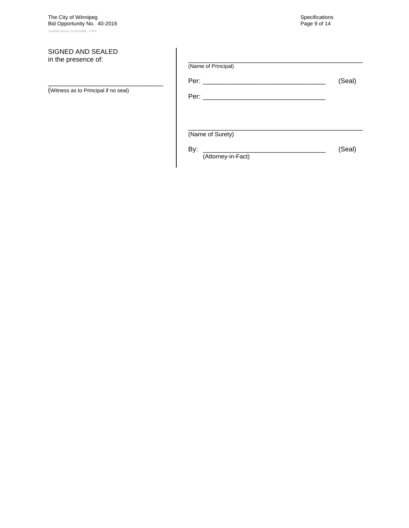The City of Winnipeg  $\sim$  Specifications of the United Specifications of the Specifications of the Specifications of the Specifications of the Specifications of the Specifications of the Specifications of the Specification Bid Opportunity No. 40-2016 Page 9 of 14 Template Version: Sr120150806 - S RFP

#### SIGNED AND SEALED in the presence of:

(Witness as to Principal if no seal)

\_\_\_\_\_\_\_\_\_\_\_\_\_\_\_\_\_\_\_\_\_\_\_\_\_\_\_\_\_\_\_

| (Name of Principal)       |        |
|---------------------------|--------|
|                           | (Seal) |
|                           |        |
| (Name of Surety)          |        |
| By:<br>(Attorney-in-Fact) | (Seal) |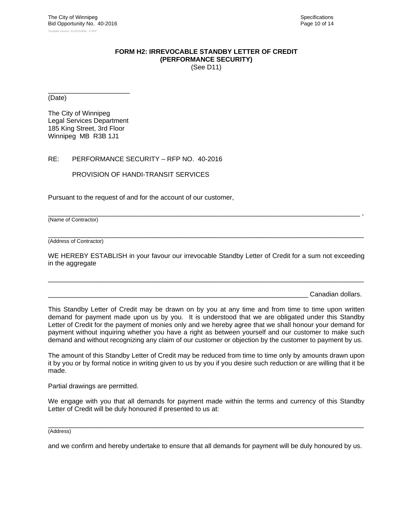#### **FORM H2: IRREVOCABLE STANDBY LETTER OF CREDIT (PERFORMANCE SECURITY)** (See D11)

\_\_\_\_\_\_\_\_\_\_\_\_\_\_\_\_\_\_\_\_\_\_ (Date)

The City of Winnipeg Legal Services Department 185 King Street, 3rd Floor Winnipeg MB R3B 1J1

#### RE: PERFORMANCE SECURITY – RFP NO. 40-2016

PROVISION OF HANDI-TRANSIT SERVICES

Pursuant to the request of and for the account of our customer,

(Name of Contractor)

 $\Box$ (Address of Contractor)

WE HEREBY ESTABLISH in your favour our irrevocable Standby Letter of Credit for a sum not exceeding in the aggregate

 $\Box$ 

\_\_\_\_\_\_\_\_\_\_\_\_\_\_\_\_\_\_\_\_\_\_\_\_\_\_\_\_\_\_\_\_\_\_\_\_\_\_\_\_\_\_\_\_\_\_\_\_\_\_\_\_\_\_\_\_\_\_\_\_\_\_\_\_\_\_\_\_\_\_\_\_\_\_\_\_\_\_\_\_\_\_\_\_ ,

Canadian dollars.

This Standby Letter of Credit may be drawn on by you at any time and from time to time upon written demand for payment made upon us by you. It is understood that we are obligated under this Standby Letter of Credit for the payment of monies only and we hereby agree that we shall honour your demand for payment without inquiring whether you have a right as between yourself and our customer to make such demand and without recognizing any claim of our customer or objection by the customer to payment by us.

The amount of this Standby Letter of Credit may be reduced from time to time only by amounts drawn upon it by you or by formal notice in writing given to us by you if you desire such reduction or are willing that it be made.

Partial drawings are permitted.

We engage with you that all demands for payment made within the terms and currency of this Standby Letter of Credit will be duly honoured if presented to us at:

\_\_\_\_\_\_\_\_\_\_\_\_\_\_\_\_\_\_\_\_\_\_\_\_\_\_\_\_\_\_\_\_\_\_\_\_\_\_\_\_\_\_\_\_\_\_\_\_\_\_\_\_\_\_\_\_\_\_\_\_\_\_\_\_\_\_\_\_\_\_\_\_\_\_\_\_\_\_\_\_\_\_\_\_\_ (Address)

and we confirm and hereby undertake to ensure that all demands for payment will be duly honoured by us.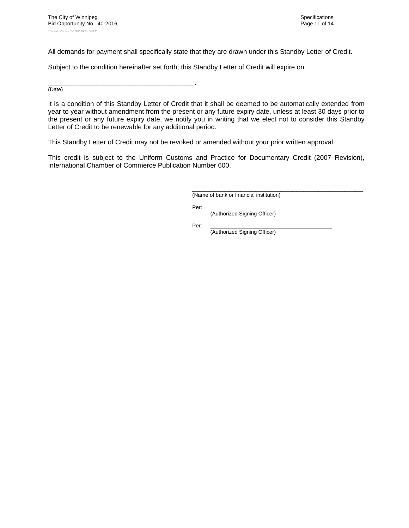All demands for payment shall specifically state that they are drawn under this Standby Letter of Credit.

Subject to the condition hereinafter set forth, this Standby Letter of Credit will expire on

\_\_\_\_\_\_\_\_\_\_\_\_\_\_\_\_\_\_\_\_\_\_\_\_\_\_\_\_\_\_\_\_\_\_\_\_\_\_\_ . (Date)

It is a condition of this Standby Letter of Credit that it shall be deemed to be automatically extended from year to year without amendment from the present or any future expiry date, unless at least 30 days prior to the present or any future expiry date, we notify you in writing that we elect not to consider this Standby Letter of Credit to be renewable for any additional period.

This Standby Letter of Credit may not be revoked or amended without your prior written approval.

This credit is subject to the Uniform Customs and Practice for Documentary Credit (2007 Revision), International Chamber of Commerce Publication Number 600.

(Name of bank or financial institution)

Per: \_\_\_\_\_\_\_\_\_\_\_\_\_\_\_\_\_\_\_\_\_\_\_\_\_\_\_\_\_\_\_\_\_\_\_\_\_\_\_\_\_

(Authorized Signing Officer)

 Per: \_\_\_\_\_\_\_\_\_\_\_\_\_\_\_\_\_\_\_\_\_\_\_\_\_\_\_\_\_\_\_\_\_\_\_\_\_\_\_\_\_ (Authorized Signing Officer)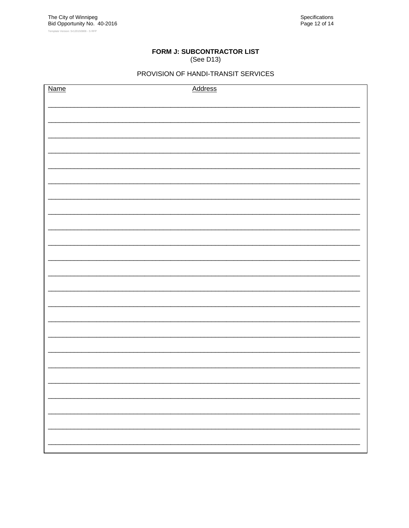# FORM J: SUBCONTRACTOR LIST

# (See D13)

### PROVISION OF HANDI-TRANSIT SERVICES

| <b>Name</b> | <b>Address</b> |
|-------------|----------------|
|             |                |
|             |                |
|             |                |
|             |                |
|             |                |
|             |                |
|             |                |
|             |                |
|             |                |
|             |                |
|             |                |
|             |                |
|             |                |
|             |                |
|             |                |
|             |                |
|             |                |
|             |                |
|             |                |
|             |                |
|             |                |
|             |                |
|             |                |
|             |                |
|             |                |
|             |                |
|             |                |
|             |                |
|             |                |
|             |                |
|             |                |
|             |                |
|             |                |
|             |                |
|             |                |
|             |                |
|             |                |
|             |                |
|             |                |
|             |                |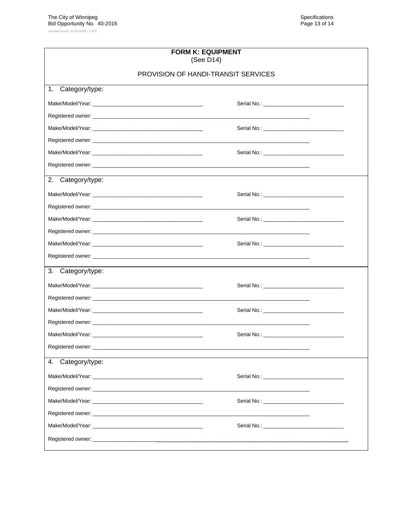| <b>FORM K: EQUIPMENT</b><br>(See D14)      |  |  |
|--------------------------------------------|--|--|
| <b>PROVISION OF HANDI-TRANSIT SERVICES</b> |  |  |
| Category/type:<br>1.                       |  |  |
|                                            |  |  |
|                                            |  |  |
|                                            |  |  |
|                                            |  |  |
|                                            |  |  |
|                                            |  |  |
| 2.<br>Category/type:                       |  |  |
|                                            |  |  |
|                                            |  |  |
|                                            |  |  |
|                                            |  |  |
|                                            |  |  |
|                                            |  |  |
| 3.<br>Category/type:                       |  |  |
|                                            |  |  |
|                                            |  |  |
|                                            |  |  |
|                                            |  |  |
|                                            |  |  |
| Registered owner: _______                  |  |  |
| Category/type:<br>4.                       |  |  |
|                                            |  |  |
|                                            |  |  |
|                                            |  |  |
|                                            |  |  |
|                                            |  |  |
|                                            |  |  |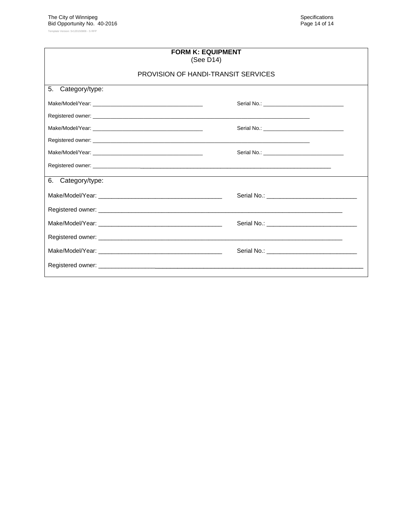Template Version: Sr120150806 - S RFP

| <b>FORM K: EQUIPMENT</b><br>(See D14) |                                     |  |  |
|---------------------------------------|-------------------------------------|--|--|
|                                       | PROVISION OF HANDI-TRANSIT SERVICES |  |  |
| 5.<br>Category/type:                  |                                     |  |  |
|                                       |                                     |  |  |
|                                       |                                     |  |  |
|                                       |                                     |  |  |
|                                       |                                     |  |  |
|                                       |                                     |  |  |
|                                       |                                     |  |  |
| 6. Category/type:                     |                                     |  |  |
|                                       |                                     |  |  |
|                                       |                                     |  |  |
|                                       |                                     |  |  |
|                                       |                                     |  |  |
|                                       |                                     |  |  |
|                                       |                                     |  |  |
|                                       |                                     |  |  |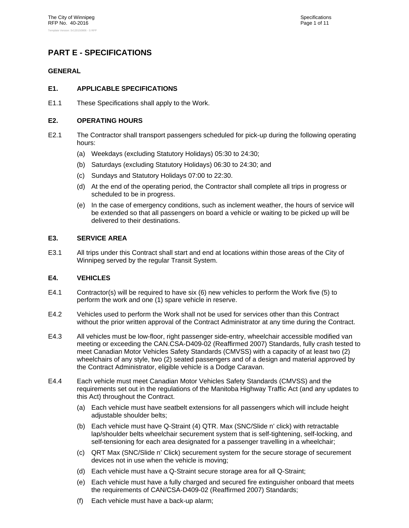# **PART E - SPECIFICATIONS**

#### **GENERAL**

#### **E1. APPLICABLE SPECIFICATIONS**

E1.1 These Specifications shall apply to the Work.

#### **E2. OPERATING HOURS**

- E2.1 The Contractor shall transport passengers scheduled for pick-up during the following operating hours:
	- (a) Weekdays (excluding Statutory Holidays) 05:30 to 24:30;
	- (b) Saturdays (excluding Statutory Holidays) 06:30 to 24:30; and
	- (c) Sundays and Statutory Holidays 07:00 to 22:30.
	- (d) At the end of the operating period, the Contractor shall complete all trips in progress or scheduled to be in progress.
	- (e) In the case of emergency conditions, such as inclement weather, the hours of service will be extended so that all passengers on board a vehicle or waiting to be picked up will be delivered to their destinations.

#### **E3. SERVICE AREA**

E3.1 All trips under this Contract shall start and end at locations within those areas of the City of Winnipeg served by the regular Transit System.

#### **E4. VEHICLES**

- E4.1 Contractor(s) will be required to have six (6) new vehicles to perform the Work five (5) to perform the work and one (1) spare vehicle in reserve.
- E4.2 Vehicles used to perform the Work shall not be used for services other than this Contract without the prior written approval of the Contract Administrator at any time during the Contract.
- E4.3 All vehicles must be low-floor, right passenger side-entry, wheelchair accessible modified van meeting or exceeding the CAN.CSA-D409-02 (Reaffirmed 2007) Standards, fully crash tested to meet Canadian Motor Vehicles Safety Standards (CMVSS) with a capacity of at least two (2) wheelchairs of any style, two (2) seated passengers and of a design and material approved by the Contract Administrator, eligible vehicle is a Dodge Caravan.
- E4.4 Each vehicle must meet Canadian Motor Vehicles Safety Standards (CMVSS) and the requirements set out in the regulations of the Manitoba Highway Traffic Act (and any updates to this Act) throughout the Contract.
	- (a) Each vehicle must have seatbelt extensions for all passengers which will include height adjustable shoulder belts;
	- (b) Each vehicle must have Q-Straint (4) QTR. Max (SNC/Slide n' click) with retractable lap/shoulder belts wheelchair securement system that is self-tightening, self-locking, and self-tensioning for each area designated for a passenger travelling in a wheelchair;
	- (c) QRT Max (SNC/Slide n' Click) securement system for the secure storage of securement devices not in use when the vehicle is moving;
	- (d) Each vehicle must have a Q-Straint secure storage area for all Q-Straint;
	- (e) Each vehicle must have a fully charged and secured fire extinguisher onboard that meets the requirements of CAN/CSA-D409-02 (Reaffirmed 2007) Standards;
	- (f) Each vehicle must have a back-up alarm;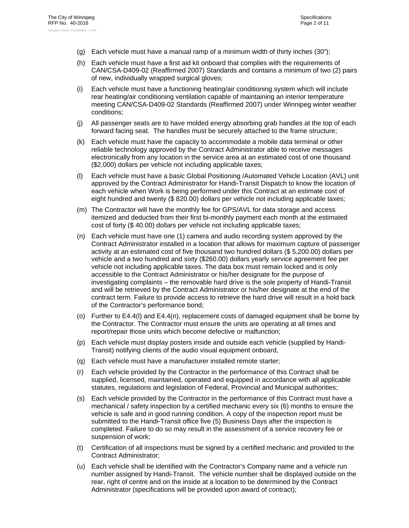- (g) Each vehicle must have a manual ramp of a minimum width of thirty inches (30");
- (h) Each vehicle must have a first aid kit onboard that complies with the requirements of CAN/CSA-D409-02 (Reaffirmed 2007) Standards and contains a minimum of two (2) pairs of new, individually wrapped surgical gloves;
- (i) Each vehicle must have a functioning heating/air conditioning system which will include rear heating/air conditioning ventilation capable of maintaining an interior temperature meeting CAN/CSA-D409-02 Standards (Reaffirmed 2007) under Winnipeg winter weather conditions;
- (j) All passenger seats are to have molded energy absorbing grab handles at the top of each forward facing seat. The handles must be securely attached to the frame structure;
- (k) Each vehicle must have the capacity to accommodate a mobile data terminal or other reliable technology approved by the Contract Administrator able to receive messages electronically from any location in the service area at an estimated cost of one thousand (\$2,000) dollars per vehicle not including applicable taxes;
- (l) Each vehicle must have a basic Global Positioning /Automated Vehicle Location (AVL) unit approved by the Contract Administrator for Handi-Transit Dispatch to know the location of each vehicle when Work is being performed under this Contract at an estimate cost of eight hundred and twenty (\$ 820.00) dollars per vehicle not including applicable taxes;
- (m) The Contractor will have the monthly fee for GPS/AVL for data storage and access itemized and deducted from their first bi-monthly payment each month at the estimated cost of forty (\$ 40.00) dollars per vehicle not including applicable taxes;
- (n) Each vehicle must have one (1) camera and audio recording system approved by the Contract Administrator installed in a location that allows for maximum capture of passenger activity at an estimated cost of five thousand two hundred dollars (\$ 5,200.00) dollars per vehicle and a two hundred and sixty (\$260.00) dollars yearly service agreement fee per vehicle not including applicable taxes. The data box must remain locked and is only accessible to the Contract Administrator or his/her designate for the purpose of investigating complaints – the removable hard drive is the sole property of Handi-Transit and will be retrieved by the Contract Administrator or his/her designate at the end of the contract term. Failure to provide access to retrieve the hard drive will result in a hold back of the Contractor's performance bond;
- (o) Further to E4.4(l) and E4.4(n), replacement costs of damaged equipment shall be borne by the Contractor. The Contractor must ensure the units are operating at all times and report/repair those units which become defective or malfunction;
- (p) Each vehicle must display posters inside and outside each vehicle (supplied by Handi-Transit) notifying clients of the audio visual equipment onboard,
- (q) Each vehicle must have a manufacturer installed remote starter;
- (r) Each vehicle provided by the Contractor in the performance of this Contract shall be supplied, licensed, maintained, operated and equipped in accordance with all applicable statutes, regulations and legislation of Federal, Provincial and Municipal authorities;
- (s) Each vehicle provided by the Contractor in the performance of this Contract must have a mechanical / safety inspection by a certified mechanic every six (6) months to ensure the vehicle is safe and in good running condition. A copy of the inspection report must be submitted to the Handi-Transit office five (5) Business Days after the inspection is completed. Failure to do so may result in the assessment of a service recovery fee or suspension of work;
- (t) Certification of all inspections must be signed by a certified mechanic and provided to the Contract Administrator;
- (u) Each vehicle shall be identified with the Contractor's Company name and a vehicle run number assigned by Handi-Transit. The vehicle number shall be displayed outside on the rear, right of centre and on the inside at a location to be determined by the Contract Administrator (specifications will be provided upon award of contract);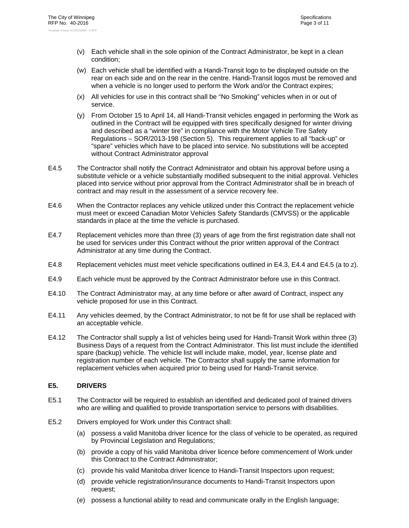- (v) Each vehicle shall in the sole opinion of the Contract Administrator, be kept in a clean condition;
- (w) Each vehicle shall be identified with a Handi-Transit logo to be displayed outside on the rear on each side and on the rear in the centre. Handi-Transit logos must be removed and when a vehicle is no longer used to perform the Work and/or the Contract expires;
- (x) All vehicles for use in this contract shall be "No Smoking" vehicles when in or out of service.
- (y) From October 15 to April 14, all Handi-Transit vehicles engaged in performing the Work as outlined in the Contract will be equipped with tires specifically designed for winter driving and described as a "winter tire" in compliance with the Motor Vehicle Tire Safety Regulations – SOR/2013-198 (Section 5). This requirement applies to all "back-up" or "spare" vehicles which have to be placed into service. No substitutions will be accepted without Contract Administrator approval
- E4.5 The Contractor shall notify the Contract Administrator and obtain his approval before using a substitute vehicle or a vehicle substantially modified subsequent to the initial approval. Vehicles placed into service without prior approval from the Contract Administrator shall be in breach of contract and may result in the assessment of a service recovery fee.
- E4.6 When the Contractor replaces any vehicle utilized under this Contract the replacement vehicle must meet or exceed Canadian Motor Vehicles Safety Standards (CMVSS) or the applicable standards in place at the time the vehicle is purchased.
- E4.7 Replacement vehicles more than three (3) years of age from the first registration date shall not be used for services under this Contract without the prior written approval of the Contract Administrator at any time during the Contract.
- E4.8 Replacement vehicles must meet vehicle specifications outlined in E4.3, E4.4 and E4.5 (a to z).
- E4.9 Each vehicle must be approved by the Contract Administrator before use in this Contract.
- E4.10 The Contract Administrator may, at any time before or after award of Contract, inspect any vehicle proposed for use in this Contract.
- E4.11 Any vehicles deemed, by the Contract Administrator, to not be fit for use shall be replaced with an acceptable vehicle.
- E4.12 The Contractor shall supply a list of vehicles being used for Handi-Transit Work within three (3) Business Days of a request from the Contract Administrator. This list must include the identified spare (backup) vehicle. The vehicle list will include make, model, year, license plate and registration number of each vehicle. The Contractor shall supply the same information for replacement vehicles when acquired prior to being used for Handi-Transit service.

#### **E5. DRIVERS**

- E5.1 The Contractor will be required to establish an identified and dedicated pool of trained drivers who are willing and qualified to provide transportation service to persons with disabilities.
- E5.2 Drivers employed for Work under this Contract shall:
	- (a) possess a valid Manitoba driver licence for the class of vehicle to be operated, as required by Provincial Legislation and Regulations;
	- (b) provide a copy of his valid Manitoba driver licence before commencement of Work under this Contract to the Contract Administrator;
	- (c) provide his valid Manitoba driver licence to Handi-Transit Inspectors upon request;
	- (d) provide vehicle registration/insurance documents to Handi-Transit Inspectors upon request;
	- (e) possess a functional ability to read and communicate orally in the English language;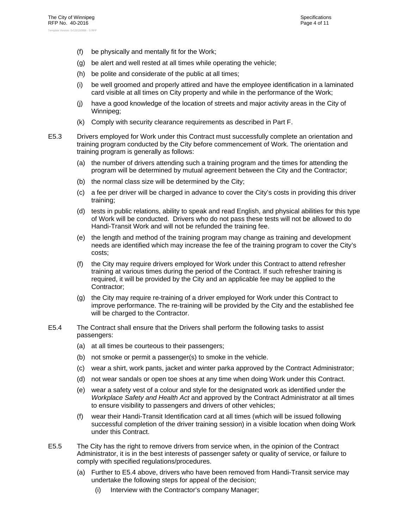- (f) be physically and mentally fit for the Work;
- (g) be alert and well rested at all times while operating the vehicle;
- (h) be polite and considerate of the public at all times;
- (i) be well groomed and properly attired and have the employee identification in a laminated card visible at all times on City property and while in the performance of the Work;
- (j) have a good knowledge of the location of streets and major activity areas in the City of Winnipeg;
- (k) Comply with security clearance requirements as described in Part F.
- E5.3 Drivers employed for Work under this Contract must successfully complete an orientation and training program conducted by the City before commencement of Work. The orientation and training program is generally as follows:
	- (a) the number of drivers attending such a training program and the times for attending the program will be determined by mutual agreement between the City and the Contractor;
	- (b) the normal class size will be determined by the City;
	- (c) a fee per driver will be charged in advance to cover the City's costs in providing this driver training;
	- (d) tests in public relations, ability to speak and read English, and physical abilities for this type of Work will be conducted. Drivers who do not pass these tests will not be allowed to do Handi-Transit Work and will not be refunded the training fee.
	- (e) the length and method of the training program may change as training and development needs are identified which may increase the fee of the training program to cover the City's costs;
	- (f) the City may require drivers employed for Work under this Contract to attend refresher training at various times during the period of the Contract. If such refresher training is required, it will be provided by the City and an applicable fee may be applied to the Contractor;
	- (g) the City may require re-training of a driver employed for Work under this Contract to improve performance. The re-training will be provided by the City and the established fee will be charged to the Contractor.
- E5.4 The Contract shall ensure that the Drivers shall perform the following tasks to assist passengers:
	- (a) at all times be courteous to their passengers;
	- (b) not smoke or permit a passenger(s) to smoke in the vehicle.
	- (c) wear a shirt, work pants, jacket and winter parka approved by the Contract Administrator;
	- (d) not wear sandals or open toe shoes at any time when doing Work under this Contract.
	- (e) wear a safety vest of a colour and style for the designated work as identified under the *Workplace Safety and Health Act* and approved by the Contract Administrator at all times to ensure visibility to passengers and drivers of other vehicles;
	- (f) wear their Handi-Transit Identification card at all times (which will be issued following successful completion of the driver training session) in a visible location when doing Work under this Contract.
- E5.5 The City has the right to remove drivers from service when, in the opinion of the Contract Administrator, it is in the best interests of passenger safety or quality of service, or failure to comply with specified regulations/procedures.
	- (a) Further to E5.4 above, drivers who have been removed from Handi-Transit service may undertake the following steps for appeal of the decision;
		- (i) Interview with the Contractor's company Manager;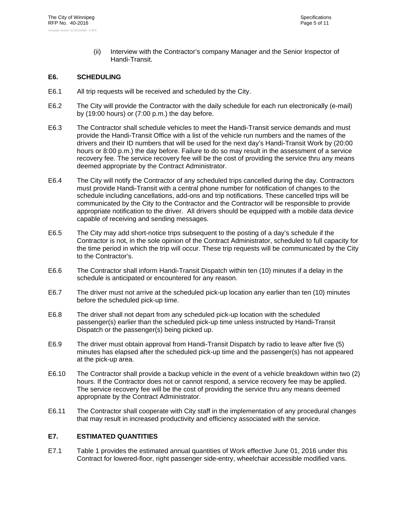(ii) Interview with the Contractor's company Manager and the Senior Inspector of Handi-Transit.

#### **E6. SCHEDULING**

- E6.1 All trip requests will be received and scheduled by the City.
- E6.2 The City will provide the Contractor with the daily schedule for each run electronically (e-mail) by (19:00 hours) or (7:00 p.m.) the day before.
- E6.3 The Contractor shall schedule vehicles to meet the Handi-Transit service demands and must provide the Handi-Transit Office with a list of the vehicle run numbers and the names of the drivers and their ID numbers that will be used for the next day's Handi-Transit Work by (20:00 hours or 8:00 p.m.) the day before. Failure to do so may result in the assessment of a service recovery fee. The service recovery fee will be the cost of providing the service thru any means deemed appropriate by the Contract Administrator.
- E6.4 The City will notify the Contractor of any scheduled trips cancelled during the day. Contractors must provide Handi-Transit with a central phone number for notification of changes to the schedule including cancellations, add-ons and trip notifications. These cancelled trips will be communicated by the City to the Contractor and the Contractor will be responsible to provide appropriate notification to the driver. All drivers should be equipped with a mobile data device capable of receiving and sending messages.
- E6.5 The City may add short-notice trips subsequent to the posting of a day's schedule if the Contractor is not, in the sole opinion of the Contract Administrator, scheduled to full capacity for the time period in which the trip will occur. These trip requests will be communicated by the City to the Contractor's.
- E6.6 The Contractor shall inform Handi-Transit Dispatch within ten (10) minutes if a delay in the schedule is anticipated or encountered for any reason.
- E6.7 The driver must not arrive at the scheduled pick-up location any earlier than ten (10) minutes before the scheduled pick-up time.
- E6.8 The driver shall not depart from any scheduled pick-up location with the scheduled passenger(s) earlier than the scheduled pick-up time unless instructed by Handi-Transit Dispatch or the passenger(s) being picked up.
- E6.9 The driver must obtain approval from Handi-Transit Dispatch by radio to leave after five (5) minutes has elapsed after the scheduled pick-up time and the passenger(s) has not appeared at the pick-up area.
- E6.10 The Contractor shall provide a backup vehicle in the event of a vehicle breakdown within two (2) hours. If the Contractor does not or cannot respond, a service recovery fee may be applied. The service recovery fee will be the cost of providing the service thru any means deemed appropriate by the Contract Administrator.
- E6.11 The Contractor shall cooperate with City staff in the implementation of any procedural changes that may result in increased productivity and efficiency associated with the service.

#### **E7. ESTIMATED QUANTITIES**

E7.1 Table 1 provides the estimated annual quantities of Work effective June 01, 2016 under this Contract for lowered-floor, right passenger side-entry, wheelchair accessible modified vans.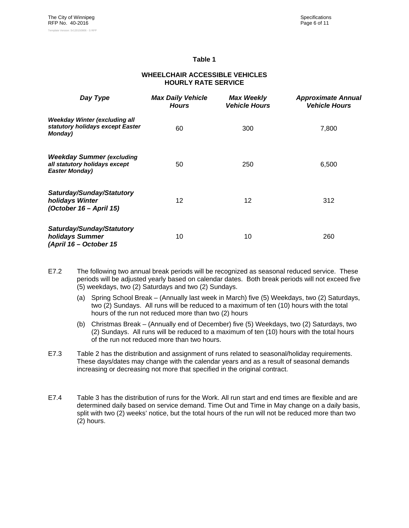#### **Table 1**

#### **WHEELCHAIR ACCESSIBLE VEHICLES HOURLY RATE SERVICE**

| Day Type                                                                                   | <b>Max Daily Vehicle</b><br><b>Hours</b> | <b>Max Weekly</b><br><b>Vehicle Hours</b> | <b>Approximate Annual</b><br><b>Vehicle Hours</b> |
|--------------------------------------------------------------------------------------------|------------------------------------------|-------------------------------------------|---------------------------------------------------|
| Weekday Winter (excluding all<br>statutory holidays except Easter<br>Monday)               | 60                                       | 300                                       | 7,800                                             |
| <b>Weekday Summer (excluding</b><br>all statutory holidays except<br><b>Easter Monday)</b> | 50                                       | 250                                       | 6,500                                             |
| Saturday/Sunday/Statutory<br>holidays Winter<br>(October 16 – April 15)                    | 12                                       | 12                                        | 312                                               |
| Saturday/Sunday/Statutory<br>holidays Summer<br>(April 16 - October 15                     | 10                                       | 10                                        | 260                                               |

- E7.2 The following two annual break periods will be recognized as seasonal reduced service. These periods will be adjusted yearly based on calendar dates. Both break periods will not exceed five (5) weekdays, two (2) Saturdays and two (2) Sundays.
	- (a) Spring School Break (Annually last week in March) five (5) Weekdays, two (2) Saturdays, two (2) Sundays. All runs will be reduced to a maximum of ten (10) hours with the total hours of the run not reduced more than two (2) hours
	- (b) Christmas Break (Annually end of December) five (5) Weekdays, two (2) Saturdays, two (2) Sundays. All runs will be reduced to a maximum of ten (10) hours with the total hours of the run not reduced more than two hours.
- E7.3 Table 2 has the distribution and assignment of runs related to seasonal/holiday requirements. These days/dates may change with the calendar years and as a result of seasonal demands increasing or decreasing not more that specified in the original contract.
- E7.4 Table 3 has the distribution of runs for the Work. All run start and end times are flexible and are determined daily based on service demand. Time Out and Time in May change on a daily basis, split with two (2) weeks' notice, but the total hours of the run will not be reduced more than two (2) hours.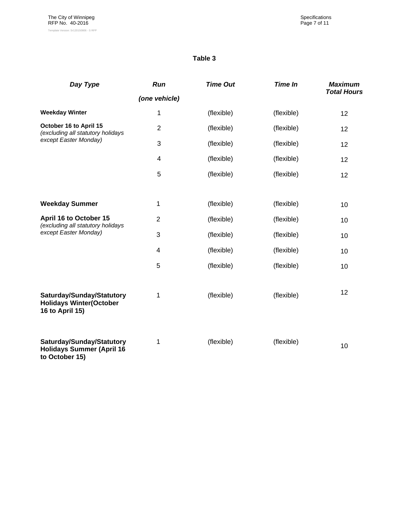#### **Table 3**

| Day Type                                                                             | Run                     | <b>Time Out</b> | <b>Time In</b> | <b>Maximum</b>     |
|--------------------------------------------------------------------------------------|-------------------------|-----------------|----------------|--------------------|
|                                                                                      | (one vehicle)           |                 |                | <b>Total Hours</b> |
| <b>Weekday Winter</b>                                                                | 1                       | (flexible)      | (flexible)     | 12                 |
| October 16 to April 15<br>(excluding all statutory holidays                          | $\overline{2}$          | (flexible)      | (flexible)     | 12                 |
| except Easter Monday)                                                                | 3                       | (flexible)      | (flexible)     | 12                 |
|                                                                                      | $\overline{\mathbf{4}}$ | (flexible)      | (flexible)     | 12                 |
|                                                                                      | 5                       | (flexible)      | (flexible)     | 12                 |
|                                                                                      |                         |                 |                |                    |
| <b>Weekday Summer</b>                                                                | 1                       | (flexible)      | (flexible)     | 10                 |
| April 16 to October 15<br>(excluding all statutory holidays<br>except Easter Monday) | $\overline{2}$          | (flexible)      | (flexible)     | 10                 |
|                                                                                      | 3                       | (flexible)      | (flexible)     | 10                 |
|                                                                                      | 4                       | (flexible)      | (flexible)     | 10                 |
|                                                                                      | 5                       | (flexible)      | (flexible)     | 10                 |
| Saturday/Sunday/Statutory<br><b>Holidays Winter(October</b><br>16 to April 15)       | 1                       | (flexible)      | (flexible)     | 12                 |
| Saturday/Sunday/Statutory<br><b>Holidays Summer (April 16</b><br>to October 15)      | 1                       | (flexible)      | (flexible)     | 10                 |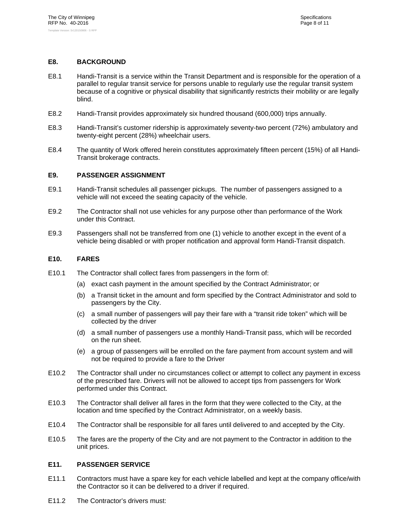#### **E8. BACKGROUND**

- E8.1 Handi-Transit is a service within the Transit Department and is responsible for the operation of a parallel to regular transit service for persons unable to regularly use the regular transit system because of a cognitive or physical disability that significantly restricts their mobility or are legally blind.
- E8.2 Handi-Transit provides approximately six hundred thousand (600,000) trips annually.
- E8.3 Handi-Transit's customer ridership is approximately seventy-two percent (72%) ambulatory and twenty-eight percent (28%) wheelchair users.
- E8.4 The quantity of Work offered herein constitutes approximately fifteen percent (15%) of all Handi-Transit brokerage contracts.

#### **E9. PASSENGER ASSIGNMENT**

- E9.1 Handi-Transit schedules all passenger pickups. The number of passengers assigned to a vehicle will not exceed the seating capacity of the vehicle.
- E9.2 The Contractor shall not use vehicles for any purpose other than performance of the Work under this Contract.
- E9.3 Passengers shall not be transferred from one (1) vehicle to another except in the event of a vehicle being disabled or with proper notification and approval form Handi-Transit dispatch.

#### **E10. FARES**

- E10.1 The Contractor shall collect fares from passengers in the form of:
	- (a) exact cash payment in the amount specified by the Contract Administrator; or
	- (b) a Transit ticket in the amount and form specified by the Contract Administrator and sold to passengers by the City.
	- (c) a small number of passengers will pay their fare with a "transit ride token" which will be collected by the driver
	- (d) a small number of passengers use a monthly Handi-Transit pass, which will be recorded on the run sheet.
	- (e) a group of passengers will be enrolled on the fare payment from account system and will not be required to provide a fare to the Driver
- E10.2 The Contractor shall under no circumstances collect or attempt to collect any payment in excess of the prescribed fare. Drivers will not be allowed to accept tips from passengers for Work performed under this Contract.
- E10.3 The Contractor shall deliver all fares in the form that they were collected to the City, at the location and time specified by the Contract Administrator, on a weekly basis.
- E10.4 The Contractor shall be responsible for all fares until delivered to and accepted by the City.
- E10.5 The fares are the property of the City and are not payment to the Contractor in addition to the unit prices.

#### **E11. PASSENGER SERVICE**

- E11.1 Contractors must have a spare key for each vehicle labelled and kept at the company office/with the Contractor so it can be delivered to a driver if required.
- E11.2 The Contractor's drivers must: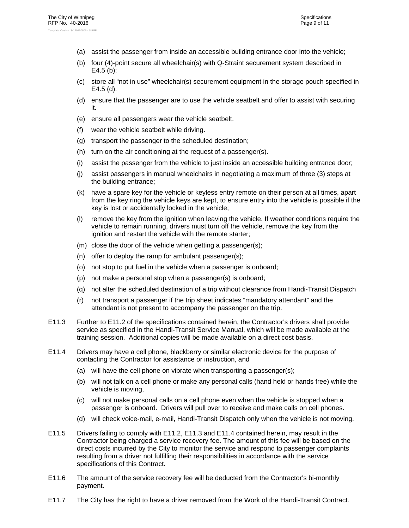- (a) assist the passenger from inside an accessible building entrance door into the vehicle;
- (b) four (4)-point secure all wheelchair(s) with Q-Straint securement system described in E4.5 (b);
- (c) store all "not in use" wheelchair(s) securement equipment in the storage pouch specified in E4.5 (d).
- (d) ensure that the passenger are to use the vehicle seatbelt and offer to assist with securing it.
- (e) ensure all passengers wear the vehicle seatbelt.
- (f) wear the vehicle seatbelt while driving.
- (g) transport the passenger to the scheduled destination;
- (h) turn on the air conditioning at the request of a passenger(s).
- (i) assist the passenger from the vehicle to just inside an accessible building entrance door;
- (j) assist passengers in manual wheelchairs in negotiating a maximum of three (3) steps at the building entrance;
- (k) have a spare key for the vehicle or keyless entry remote on their person at all times, apart from the key ring the vehicle keys are kept, to ensure entry into the vehicle is possible if the key is lost or accidentally locked in the vehicle;
- (l) remove the key from the ignition when leaving the vehicle. If weather conditions require the vehicle to remain running, drivers must turn off the vehicle, remove the key from the ignition and restart the vehicle with the remote starter;
- (m) close the door of the vehicle when getting a passenger(s);
- (n) offer to deploy the ramp for ambulant passenger(s);
- (o) not stop to put fuel in the vehicle when a passenger is onboard;
- (p) not make a personal stop when a passenger(s) is onboard;
- (q) not alter the scheduled destination of a trip without clearance from Handi-Transit Dispatch
- (r) not transport a passenger if the trip sheet indicates "mandatory attendant" and the attendant is not present to accompany the passenger on the trip.
- E11.3 Further to E11.2 of the specifications contained herein, the Contractor's drivers shall provide service as specified in the Handi-Transit Service Manual, which will be made available at the training session. Additional copies will be made available on a direct cost basis.
- E11.4 Drivers may have a cell phone, blackberry or similar electronic device for the purpose of contacting the Contractor for assistance or instruction, and
	- (a) will have the cell phone on vibrate when transporting a passenger(s);
	- (b) will not talk on a cell phone or make any personal calls (hand held or hands free) while the vehicle is moving,
	- (c) will not make personal calls on a cell phone even when the vehicle is stopped when a passenger is onboard. Drivers will pull over to receive and make calls on cell phones.
	- (d) will check voice-mail, e-mail, Handi-Transit Dispatch only when the vehicle is not moving.
- E11.5 Drivers failing to comply with E11.2, E11.3 and E11.4 contained herein, may result in the Contractor being charged a service recovery fee. The amount of this fee will be based on the direct costs incurred by the City to monitor the service and respond to passenger complaints resulting from a driver not fulfilling their responsibilities in accordance with the service specifications of this Contract.
- E11.6 The amount of the service recovery fee will be deducted from the Contractor's bi-monthly payment.
- E11.7 The City has the right to have a driver removed from the Work of the Handi-Transit Contract.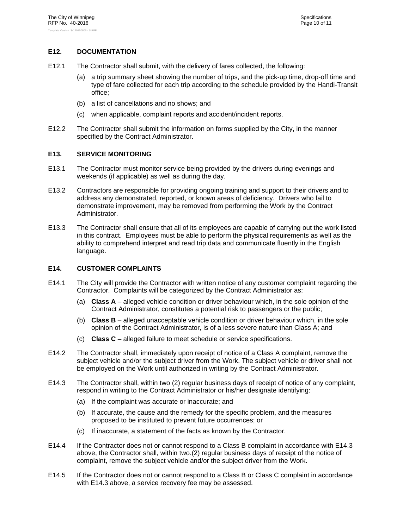#### **E12. DOCUMENTATION**

- E12.1 The Contractor shall submit, with the delivery of fares collected, the following:
	- (a) a trip summary sheet showing the number of trips, and the pick-up time, drop-off time and type of fare collected for each trip according to the schedule provided by the Handi-Transit office;
	- (b) a list of cancellations and no shows; and
	- (c) when applicable, complaint reports and accident/incident reports.
- E12.2 The Contractor shall submit the information on forms supplied by the City, in the manner specified by the Contract Administrator.

#### **E13. SERVICE MONITORING**

- E13.1 The Contractor must monitor service being provided by the drivers during evenings and weekends (if applicable) as well as during the day.
- E13.2 Contractors are responsible for providing ongoing training and support to their drivers and to address any demonstrated, reported, or known areas of deficiency. Drivers who fail to demonstrate improvement, may be removed from performing the Work by the Contract Administrator.
- E13.3 The Contractor shall ensure that all of its employees are capable of carrying out the work listed in this contract. Employees must be able to perform the physical requirements as well as the ability to comprehend interpret and read trip data and communicate fluently in the English language.

#### **E14. CUSTOMER COMPLAINTS**

- E14.1 The City will provide the Contractor with written notice of any customer complaint regarding the Contractor. Complaints will be categorized by the Contract Administrator as:
	- (a) **Class A** alleged vehicle condition or driver behaviour which, in the sole opinion of the Contract Administrator, constitutes a potential risk to passengers or the public;
	- (b) **Class B** alleged unacceptable vehicle condition or driver behaviour which, in the sole opinion of the Contract Administrator, is of a less severe nature than Class A; and
	- (c) **Class C** alleged failure to meet schedule or service specifications.
- E14.2 The Contractor shall, immediately upon receipt of notice of a Class A complaint, remove the subject vehicle and/or the subject driver from the Work. The subject vehicle or driver shall not be employed on the Work until authorized in writing by the Contract Administrator.
- E14.3 The Contractor shall, within two (2) regular business days of receipt of notice of any complaint, respond in writing to the Contract Administrator or his/her designate identifying:
	- (a) If the complaint was accurate or inaccurate; and
	- (b) If accurate, the cause and the remedy for the specific problem, and the measures proposed to be instituted to prevent future occurrences; or
	- (c) If inaccurate, a statement of the facts as known by the Contractor.
- E14.4 If the Contractor does not or cannot respond to a Class B complaint in accordance with E14.3 above, the Contractor shall, within two.(2) regular business days of receipt of the notice of complaint, remove the subject vehicle and/or the subject driver from the Work.
- E14.5 If the Contractor does not or cannot respond to a Class B or Class C complaint in accordance with E14.3 above, a service recovery fee may be assessed.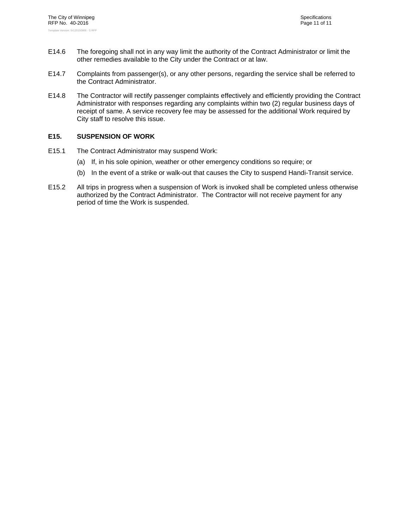- E14.6 The foregoing shall not in any way limit the authority of the Contract Administrator or limit the other remedies available to the City under the Contract or at law.
- E14.7 Complaints from passenger(s), or any other persons, regarding the service shall be referred to the Contract Administrator.
- E14.8 The Contractor will rectify passenger complaints effectively and efficiently providing the Contract Administrator with responses regarding any complaints within two (2) regular business days of receipt of same. A service recovery fee may be assessed for the additional Work required by City staff to resolve this issue.

#### **E15. SUSPENSION OF WORK**

- E15.1 The Contract Administrator may suspend Work:
	- (a) If, in his sole opinion, weather or other emergency conditions so require; or
	- (b) In the event of a strike or walk-out that causes the City to suspend Handi-Transit service.
- E15.2 All trips in progress when a suspension of Work is invoked shall be completed unless otherwise authorized by the Contract Administrator. The Contractor will not receive payment for any period of time the Work is suspended.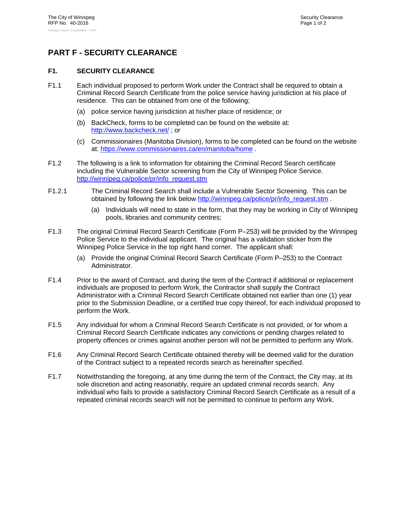# **PART F - SECURITY CLEARANCE**

#### **F1. SECURITY CLEARANCE**

- F1.1 Each individual proposed to perform Work under the Contract shall be required to obtain a Criminal Record Search Certificate from the police service having jurisdiction at his place of residence. This can be obtained from one of the following;
	- (a) police service having jurisdiction at his/her place of residence; or
	- (b) BackCheck, forms to be completed can be found on the website at: http://www.backcheck.net/ ; or
	- (c) Commissionaires (Manitoba Division), forms to be completed can be found on the website at: https://www.commissionaires.ca/en/manitoba/home .
- F1.2 The following is a link to information for obtaining the Criminal Record Search certificate including the Vulnerable Sector screening from the City of Winnipeg Police Service. http://winnipeg.ca/police/pr/info\_request.stm
- F1.2.1 The Criminal Record Search shall include a Vulnerable Sector Screening. This can be obtained by following the link below http://winnipeg.ca/police/pr/info\_request.stm .
	- (a) Individuals will need to state in the form, that they may be working in City of Winnipeg pools, libraries and community centres;
- F1.3 The original Criminal Record Search Certificate (Form P–253) will be provided by the Winnipeg Police Service to the individual applicant. The original has a validation sticker from the Winnipeg Police Service in the top right hand corner. The applicant shall:
	- (a) Provide the original Criminal Record Search Certificate (Form P–253) to the Contract Administrator.
- F1.4 Prior to the award of Contract, and during the term of the Contract if additional or replacement individuals are proposed to perform Work, the Contractor shall supply the Contract Administrator with a Criminal Record Search Certificate obtained not earlier than one (1) year prior to the Submission Deadline, or a certified true copy thereof, for each individual proposed to perform the Work.
- F1.5 Any individual for whom a Criminal Record Search Certificate is not provided, or for whom a Criminal Record Search Certificate indicates any convictions or pending charges related to property offences or crimes against another person will not be permitted to perform any Work.
- F1.6 Any Criminal Record Search Certificate obtained thereby will be deemed valid for the duration of the Contract subject to a repeated records search as hereinafter specified.
- F1.7 Notwithstanding the foregoing, at any time during the term of the Contract, the City may, at its sole discretion and acting reasonably, require an updated criminal records search. Any individual who fails to provide a satisfactory Criminal Record Search Certificate as a result of a repeated criminal records search will not be permitted to continue to perform any Work.